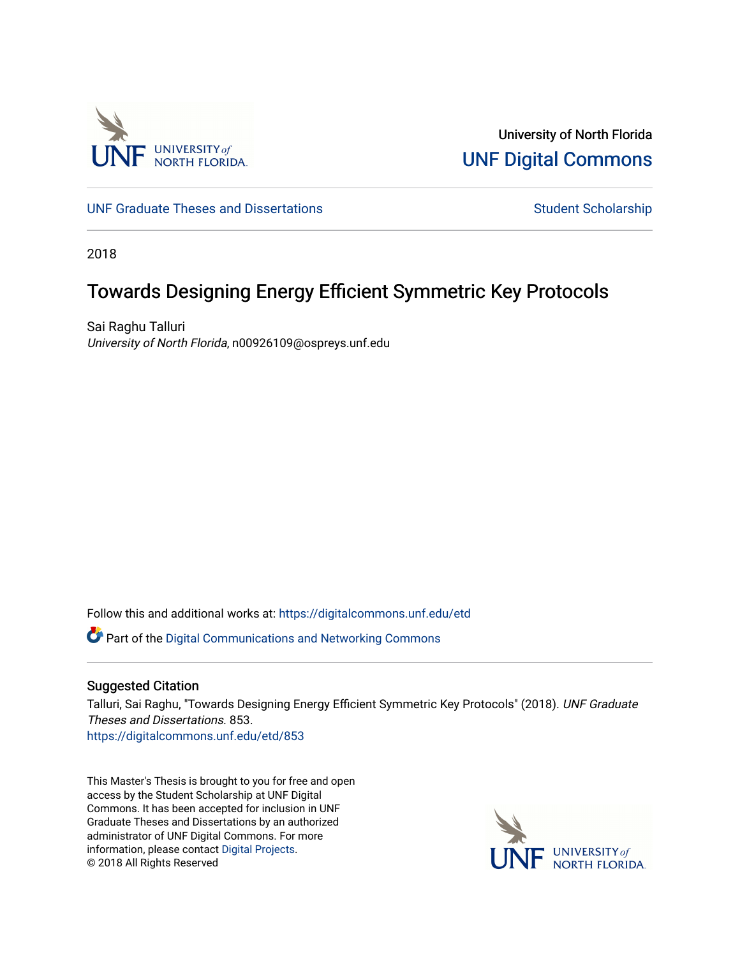

University of North Florida [UNF Digital Commons](https://digitalcommons.unf.edu/) 

[UNF Graduate Theses and Dissertations](https://digitalcommons.unf.edu/etd) [Student Scholarship](https://digitalcommons.unf.edu/student_scholars) Student Scholarship

2018

# Towards Designing Energy Efficient Symmetric Key Protocols

Sai Raghu Talluri University of North Florida, n00926109@ospreys.unf.edu

Follow this and additional works at: [https://digitalcommons.unf.edu/etd](https://digitalcommons.unf.edu/etd?utm_source=digitalcommons.unf.edu%2Fetd%2F853&utm_medium=PDF&utm_campaign=PDFCoverPages) 

Part of the [Digital Communications and Networking Commons](http://network.bepress.com/hgg/discipline/262?utm_source=digitalcommons.unf.edu%2Fetd%2F853&utm_medium=PDF&utm_campaign=PDFCoverPages) 

# Suggested Citation

Talluri, Sai Raghu, "Towards Designing Energy Efficient Symmetric Key Protocols" (2018). UNF Graduate Theses and Dissertations. 853.

[https://digitalcommons.unf.edu/etd/853](https://digitalcommons.unf.edu/etd/853?utm_source=digitalcommons.unf.edu%2Fetd%2F853&utm_medium=PDF&utm_campaign=PDFCoverPages) 

This Master's Thesis is brought to you for free and open access by the Student Scholarship at UNF Digital Commons. It has been accepted for inclusion in UNF Graduate Theses and Dissertations by an authorized administrator of UNF Digital Commons. For more information, please contact [Digital Projects](mailto:lib-digital@unf.edu). © 2018 All Rights Reserved

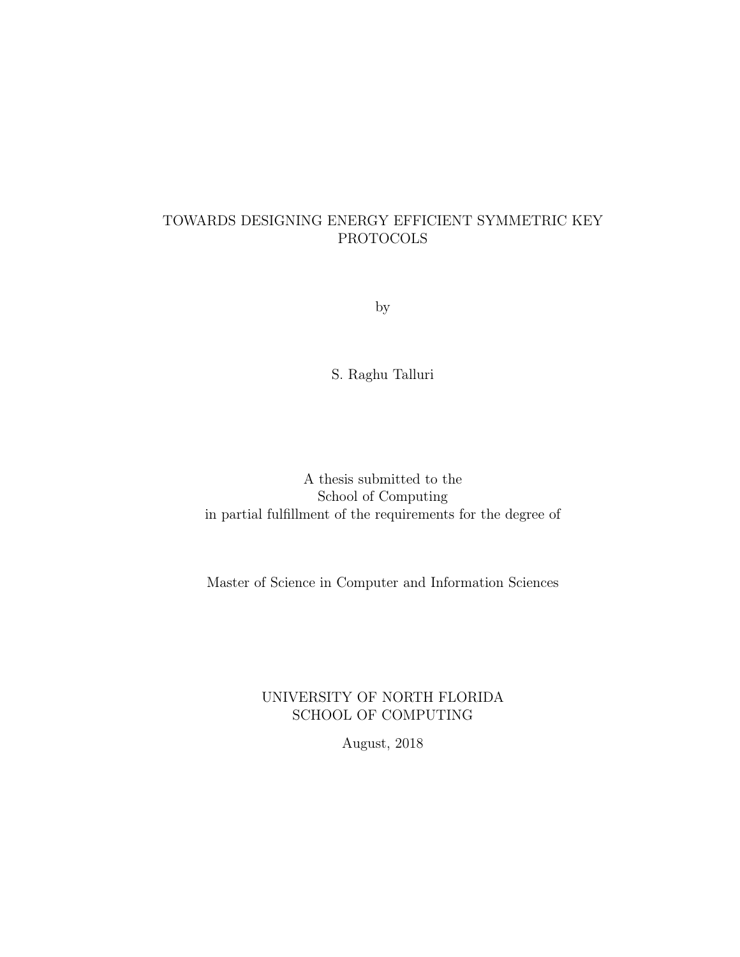# TOWARDS DESIGNING ENERGY EFFICIENT SYMMETRIC KEY PROTOCOLS

by

S. Raghu Talluri

A thesis submitted to the School of Computing in partial fulfillment of the requirements for the degree of

Master of Science in Computer and Information Sciences

# UNIVERSITY OF NORTH FLORIDA SCHOOL OF COMPUTING

August, 2018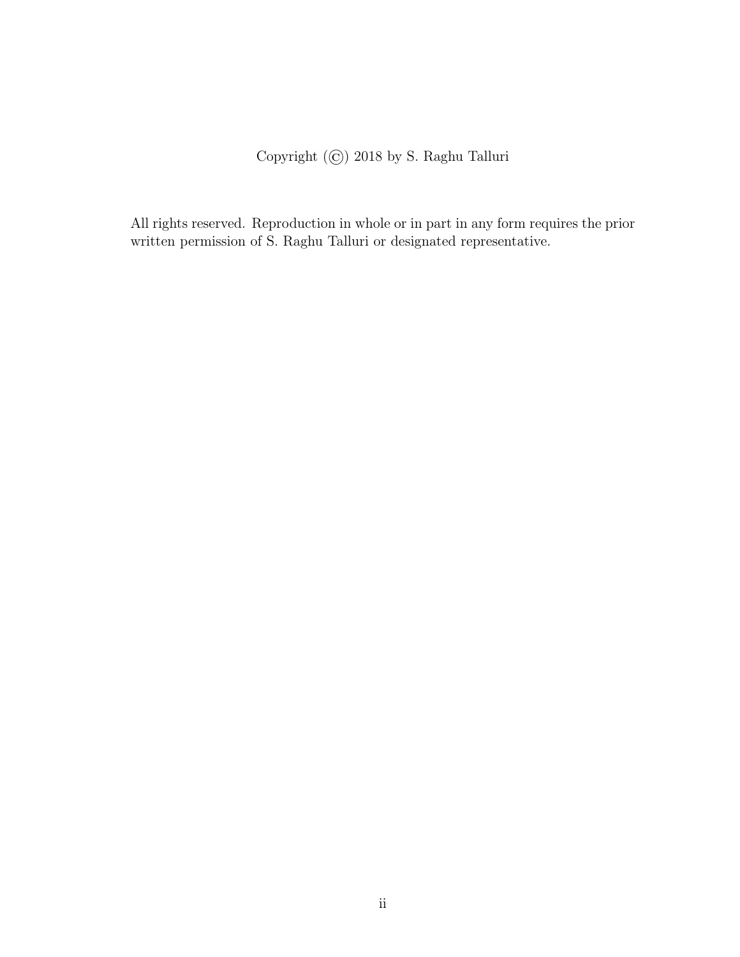Copyright (©) 2018 by S. Raghu Talluri

All rights reserved. Reproduction in whole or in part in any form requires the prior written permission of S. Raghu Talluri or designated representative.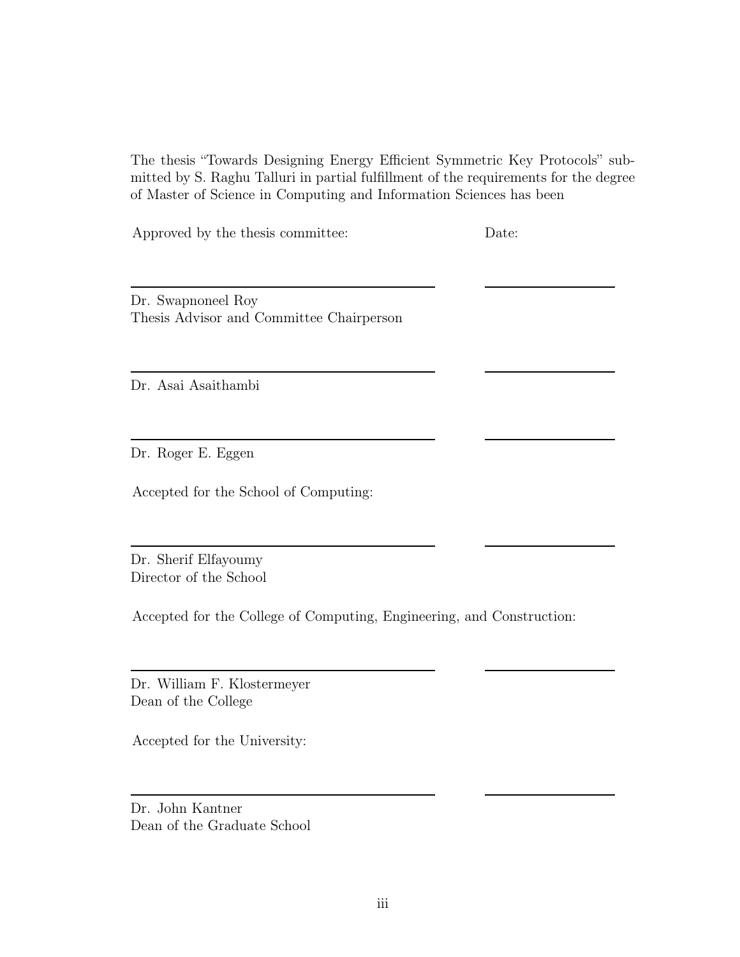The thesis "Towards Designing Energy Efficient Symmetric Key Protocols" submitted by S. Raghu Talluri in partial fulfillment of the requirements for the degree of Master of Science in Computing and Information Sciences has been

Approved by the thesis committee: Date:

Dr. Swapnoneel Roy Thesis Advisor and Committee Chairperson

Dr. Asai Asaithambi

Dr. Roger E. Eggen

Accepted for the School of Computing:

Dr. Sherif Elfayoumy Director of the School

Accepted for the College of Computing, Engineering, and Construction:

Dr. William F. Klostermeyer Dean of the College

Accepted for the University:

Dr. John Kantner Dean of the Graduate School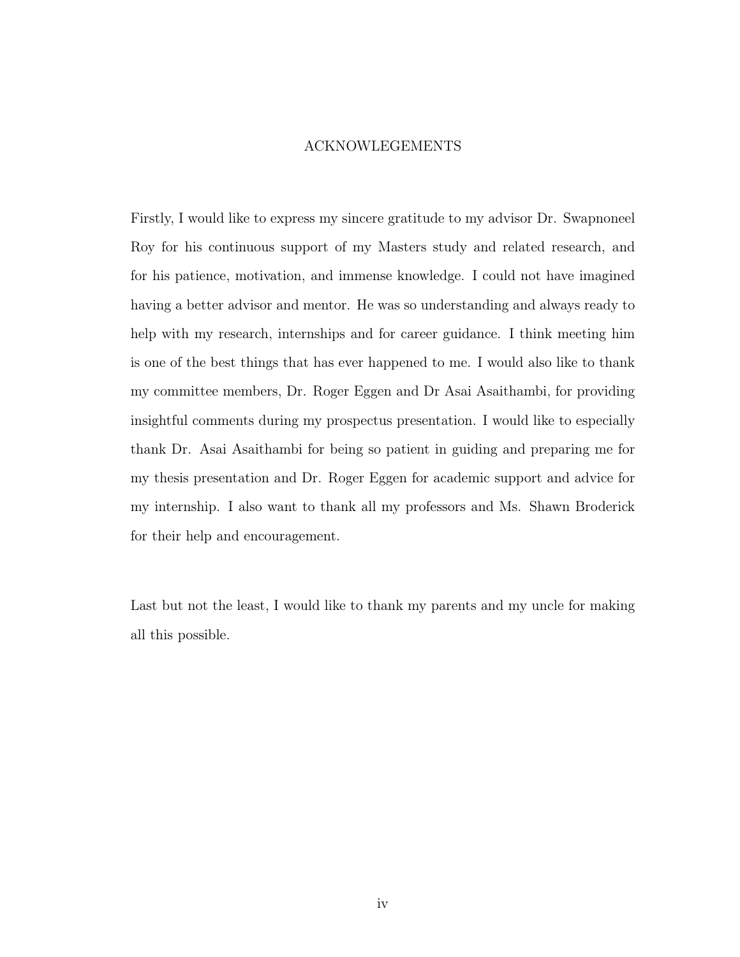# ACKNOWLEGEMENTS

Firstly, I would like to express my sincere gratitude to my advisor Dr. Swapnoneel Roy for his continuous support of my Masters study and related research, and for his patience, motivation, and immense knowledge. I could not have imagined having a better advisor and mentor. He was so understanding and always ready to help with my research, internships and for career guidance. I think meeting him is one of the best things that has ever happened to me. I would also like to thank my committee members, Dr. Roger Eggen and Dr Asai Asaithambi, for providing insightful comments during my prospectus presentation. I would like to especially thank Dr. Asai Asaithambi for being so patient in guiding and preparing me for my thesis presentation and Dr. Roger Eggen for academic support and advice for my internship. I also want to thank all my professors and Ms. Shawn Broderick for their help and encouragement.

Last but not the least, I would like to thank my parents and my uncle for making all this possible.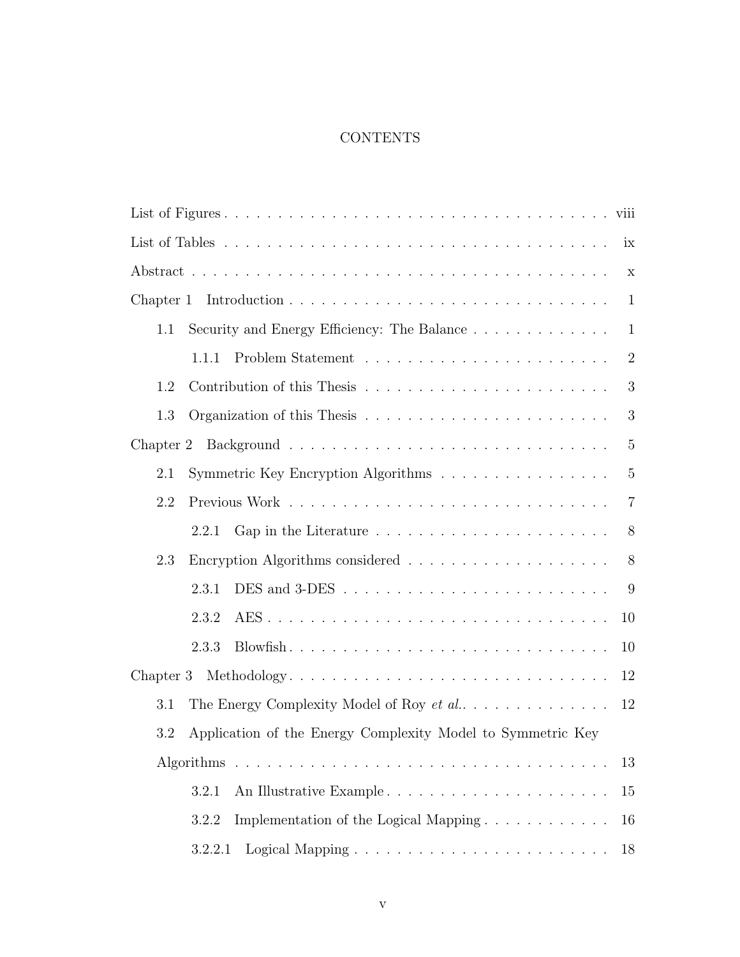# **CONTENTS**

| ix                                                                 |
|--------------------------------------------------------------------|
| $\mathbf X$                                                        |
| Chapter 1<br>$\mathbf{1}$                                          |
| Security and Energy Efficiency: The Balance<br>1.1<br>$\mathbf{1}$ |
| $\overline{2}$<br>1.1.1                                            |
| 3<br>1.2                                                           |
| 3<br>1.3                                                           |
| 5                                                                  |
| $\overline{5}$<br>2.1<br>Symmetric Key Encryption Algorithms       |
| 2.2<br>$\overline{7}$                                              |
| 8<br>2.2.1                                                         |
| 8<br>2.3                                                           |
| 9<br>2.3.1                                                         |
| 2.3.2<br>10                                                        |
| 2.3.3<br>10                                                        |
| Chapter 3 Methodology<br>12                                        |
| The Energy Complexity Model of Roy et al<br>3.1<br>12              |
| Application of the Energy Complexity Model to Symmetric Key<br>3.2 |
| 13                                                                 |
| 3.2.1<br>15                                                        |
| Implementation of the Logical Mapping<br>3.2.2<br>16               |
| 3.2.2.1<br>18                                                      |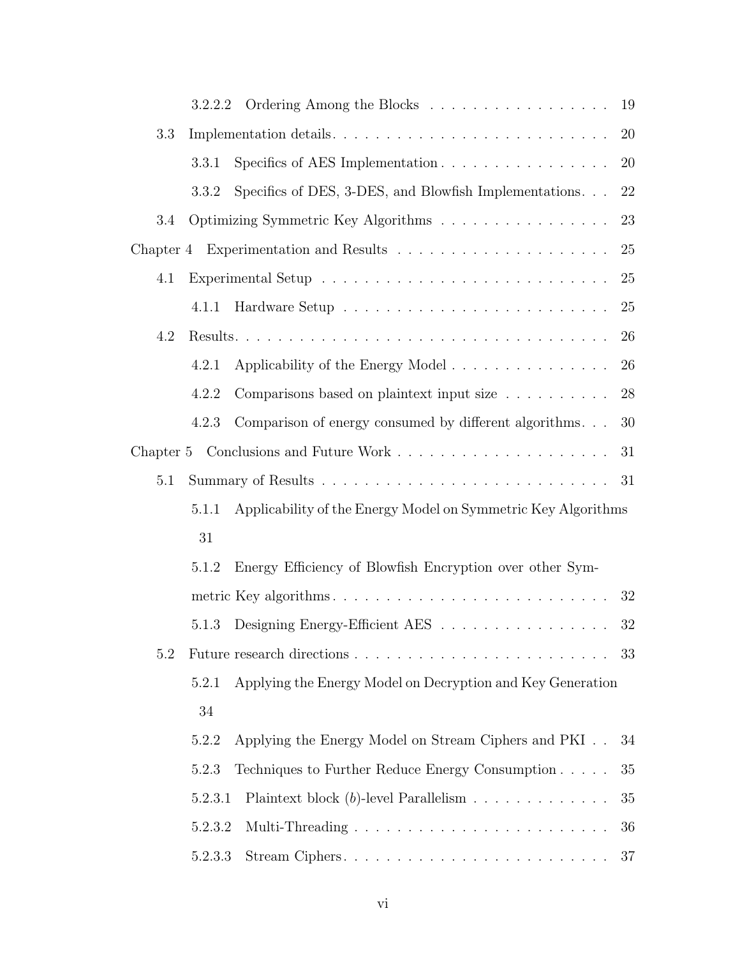|         | 3.2.2.2 | Ordering Among the Blocks                                     | 19     |
|---------|---------|---------------------------------------------------------------|--------|
| 3.3     |         |                                                               | 20     |
|         | 3.3.1   | Specifics of AES Implementation                               | 20     |
|         | 3.3.2   | Specifics of DES, 3-DES, and Blowfish Implementations. $\,$   | 22     |
| 3.4     |         | Optimizing Symmetric Key Algorithms                           | 23     |
|         |         |                                                               | 25     |
| 4.1     |         |                                                               | 25     |
|         | 4.1.1   |                                                               | 25     |
| 4.2     |         |                                                               | 26     |
|         | 4.2.1   | Applicability of the Energy Model                             | 26     |
|         | 4.2.2   | Comparisons based on plaintext input size                     | $28\,$ |
|         | 4.2.3   | Comparison of energy consumed by different algorithms         | 30     |
|         |         |                                                               | 31     |
| $5.1\,$ |         |                                                               | 31     |
|         | 5.1.1   | Applicability of the Energy Model on Symmetric Key Algorithms |        |
|         | 31      |                                                               |        |
|         | 5.1.2   | Energy Efficiency of Blowfish Encryption over other Sym-      |        |
|         |         |                                                               | 32     |
|         | 5.1.3   | Designing Energy-Efficient AES                                | 32     |
| 5.2     |         |                                                               | 33     |
|         | 5.2.1   | Applying the Energy Model on Decryption and Key Generation    |        |
|         | 34      |                                                               |        |
|         | 5.2.2   | Applying the Energy Model on Stream Ciphers and PKI           | 34     |
|         | 5.2.3   | Techniques to Further Reduce Energy Consumption               | 35     |
|         | 5.2.3.1 | Plaintext block $(b)$ -level Parallelism                      | 35     |
|         | 5.2.3.2 |                                                               | 36     |
|         | 5.2.3.3 |                                                               | 37     |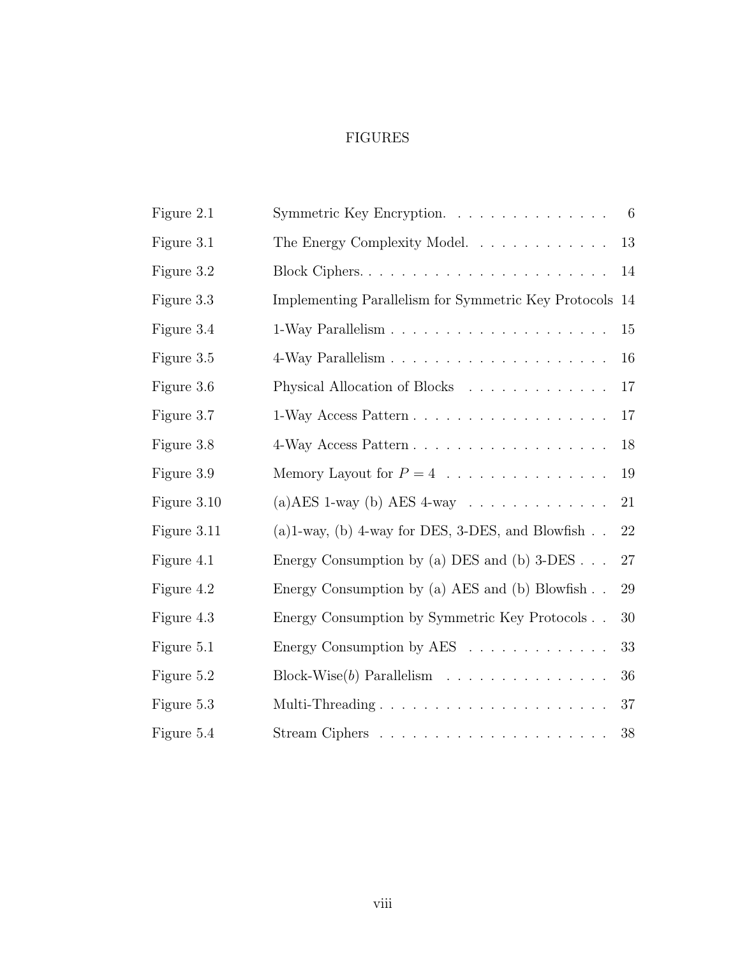# FIGURES

| Figure 2.1  | Symmetric Key Encryption.                                                 | -6     |
|-------------|---------------------------------------------------------------------------|--------|
| Figure 3.1  | The Energy Complexity Model                                               | 13     |
| Figure 3.2  | Block Ciphers                                                             | 14     |
| Figure 3.3  | Implementing Parallelism for Symmetric Key Protocols                      | 14     |
| Figure 3.4  |                                                                           | $15\,$ |
| Figure 3.5  |                                                                           | 16     |
| Figure 3.6  | Physical Allocation of Blocks                                             | 17     |
| Figure 3.7  |                                                                           | 17     |
| Figure 3.8  |                                                                           | 18     |
| Figure 3.9  | Memory Layout for $P = 4$                                                 | 19     |
| Figure 3.10 | (a) AES 1-way (b) AES 4-way $\ldots \ldots \ldots \ldots$                 | 21     |
| Figure 3.11 | (a) 1-way, (b) 4-way for DES, 3-DES, and Blowfish                         | 22     |
| Figure 4.1  | Energy Consumption by (a) DES and (b) $3$ -DES                            | 27     |
| Figure 4.2  | Energy Consumption by (a) AES and (b) Blowfish                            | 29     |
| Figure 4.3  | Energy Consumption by Symmetric Key Protocols                             | 30     |
| Figure 5.1  | Energy Consumption by AES $\ldots \ldots \ldots \ldots$                   | 33     |
| Figure 5.2  | Block-Wise $(b)$ Parallelism                                              | 36     |
| Figure 5.3  | Multi-Threading $\ldots \ldots \ldots \ldots \ldots \ldots \ldots \ldots$ | 37     |
| Figure 5.4  |                                                                           | 38     |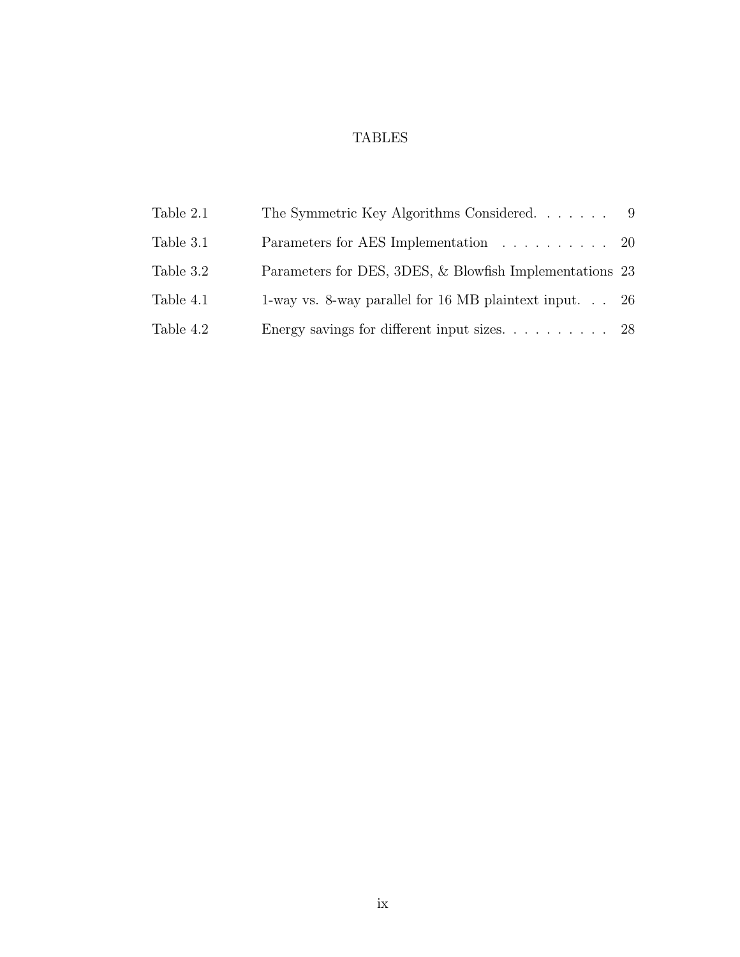# TABLES

| Table 2.1 | The Symmetric Key Algorithms Considered                 |  |
|-----------|---------------------------------------------------------|--|
| Table 3.1 | Parameters for AES Implementation 20                    |  |
| Table 3.2 | Parameters for DES, 3DES, & Blowfish Implementations 23 |  |
| Table 4.1 | 1-way vs. 8-way parallel for 16 MB plaintext input $26$ |  |
| Table 4.2 |                                                         |  |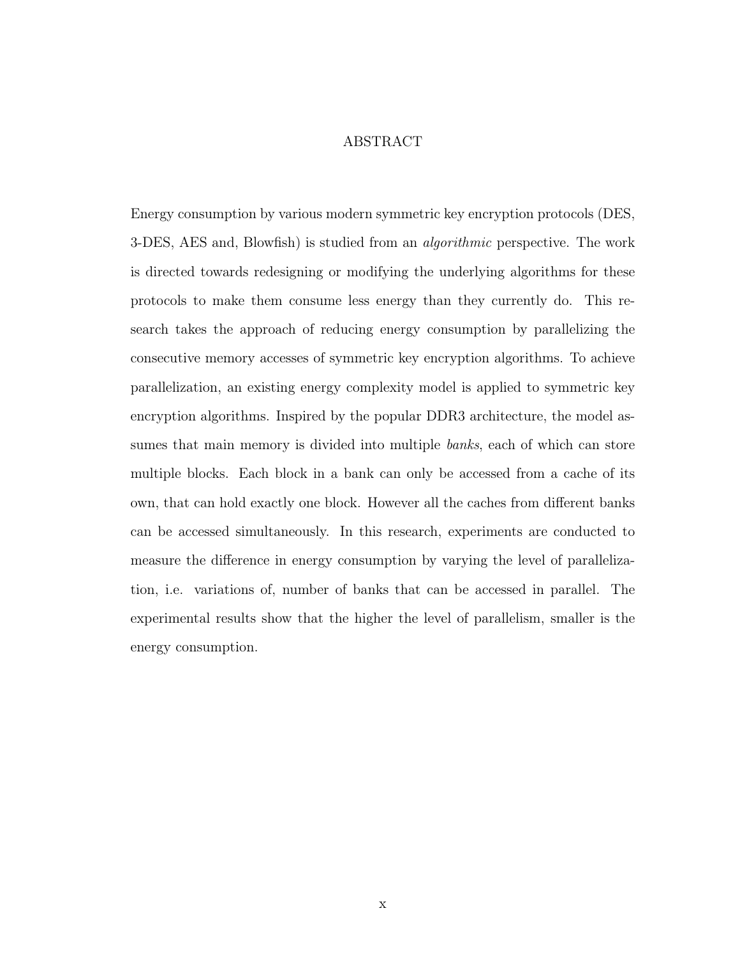### ABSTRACT

Energy consumption by various modern symmetric key encryption protocols (DES, 3-DES, AES and, Blowfish) is studied from an *algorithmic* perspective. The work is directed towards redesigning or modifying the underlying algorithms for these protocols to make them consume less energy than they currently do. This research takes the approach of reducing energy consumption by parallelizing the consecutive memory accesses of symmetric key encryption algorithms. To achieve parallelization, an existing energy complexity model is applied to symmetric key encryption algorithms. Inspired by the popular DDR3 architecture, the model assumes that main memory is divided into multiple banks, each of which can store multiple blocks. Each block in a bank can only be accessed from a cache of its own, that can hold exactly one block. However all the caches from different banks can be accessed simultaneously. In this research, experiments are conducted to measure the difference in energy consumption by varying the level of parallelization, i.e. variations of, number of banks that can be accessed in parallel. The experimental results show that the higher the level of parallelism, smaller is the energy consumption.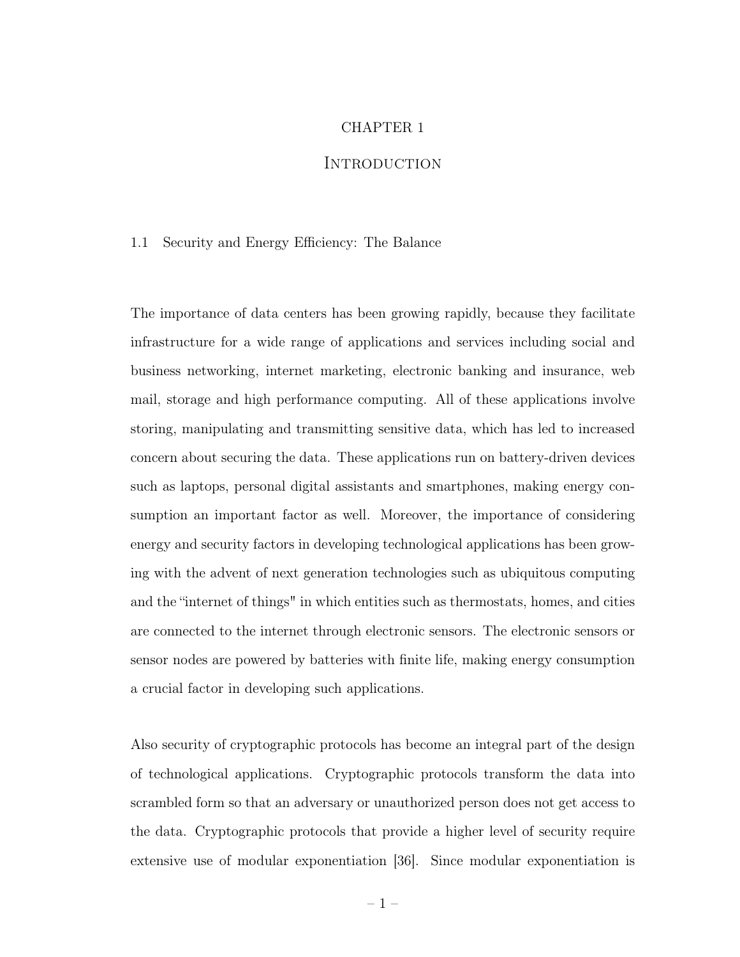# CHAPTER 1

# **INTRODUCTION**

#### 1.1 Security and Energy Efficiency: The Balance

The importance of data centers has been growing rapidly, because they facilitate infrastructure for a wide range of applications and services including social and business networking, internet marketing, electronic banking and insurance, web mail, storage and high performance computing. All of these applications involve storing, manipulating and transmitting sensitive data, which has led to increased concern about securing the data. These applications run on battery-driven devices such as laptops, personal digital assistants and smartphones, making energy consumption an important factor as well. Moreover, the importance of considering energy and security factors in developing technological applications has been growing with the advent of next generation technologies such as ubiquitous computing and the "internet of things" in which entities such as thermostats, homes, and cities are connected to the internet through electronic sensors. The electronic sensors or sensor nodes are powered by batteries with finite life, making energy consumption a crucial factor in developing such applications.

Also security of cryptographic protocols has become an integral part of the design of technological applications. Cryptographic protocols transform the data into scrambled form so that an adversary or unauthorized person does not get access to the data. Cryptographic protocols that provide a higher level of security require extensive use of modular exponentiation [36]. Since modular exponentiation is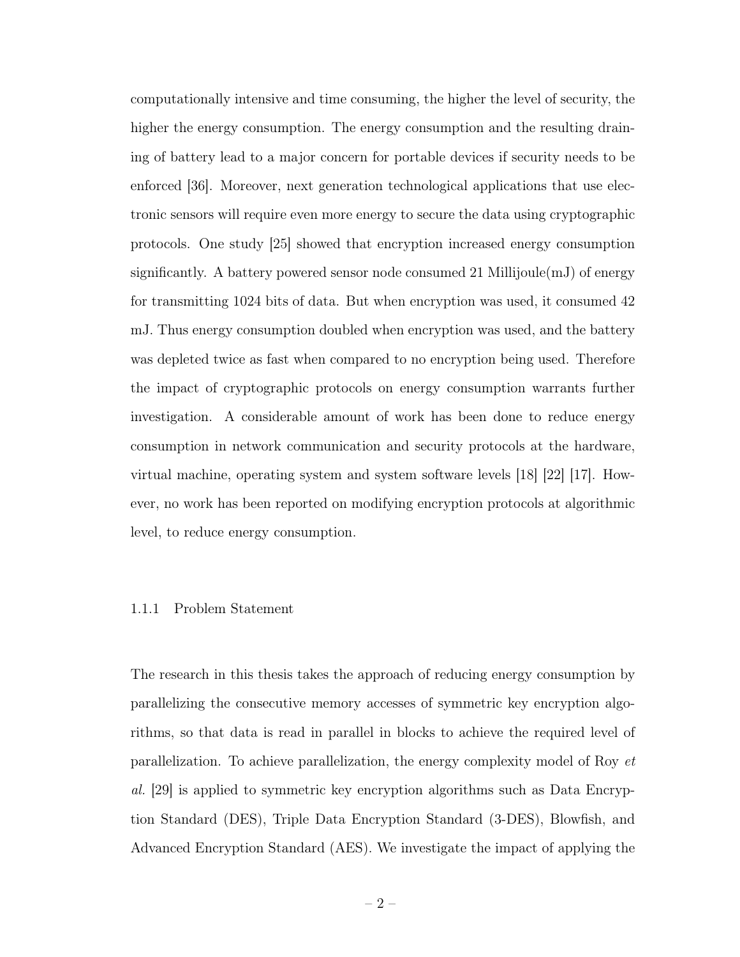computationally intensive and time consuming, the higher the level of security, the higher the energy consumption. The energy consumption and the resulting draining of battery lead to a major concern for portable devices if security needs to be enforced [36]. Moreover, next generation technological applications that use electronic sensors will require even more energy to secure the data using cryptographic protocols. One study [25] showed that encryption increased energy consumption significantly. A battery powered sensor node consumed 21 Millijoule $(mJ)$  of energy for transmitting 1024 bits of data. But when encryption was used, it consumed 42 mJ. Thus energy consumption doubled when encryption was used, and the battery was depleted twice as fast when compared to no encryption being used. Therefore the impact of cryptographic protocols on energy consumption warrants further investigation. A considerable amount of work has been done to reduce energy consumption in network communication and security protocols at the hardware, virtual machine, operating system and system software levels [18] [22] [17]. However, no work has been reported on modifying encryption protocols at algorithmic level, to reduce energy consumption.

#### 1.1.1 Problem Statement

The research in this thesis takes the approach of reducing energy consumption by parallelizing the consecutive memory accesses of symmetric key encryption algorithms, so that data is read in parallel in blocks to achieve the required level of parallelization. To achieve parallelization, the energy complexity model of Roy et al. [29] is applied to symmetric key encryption algorithms such as Data Encryption Standard (DES), Triple Data Encryption Standard (3-DES), Blowfish, and Advanced Encryption Standard (AES). We investigate the impact of applying the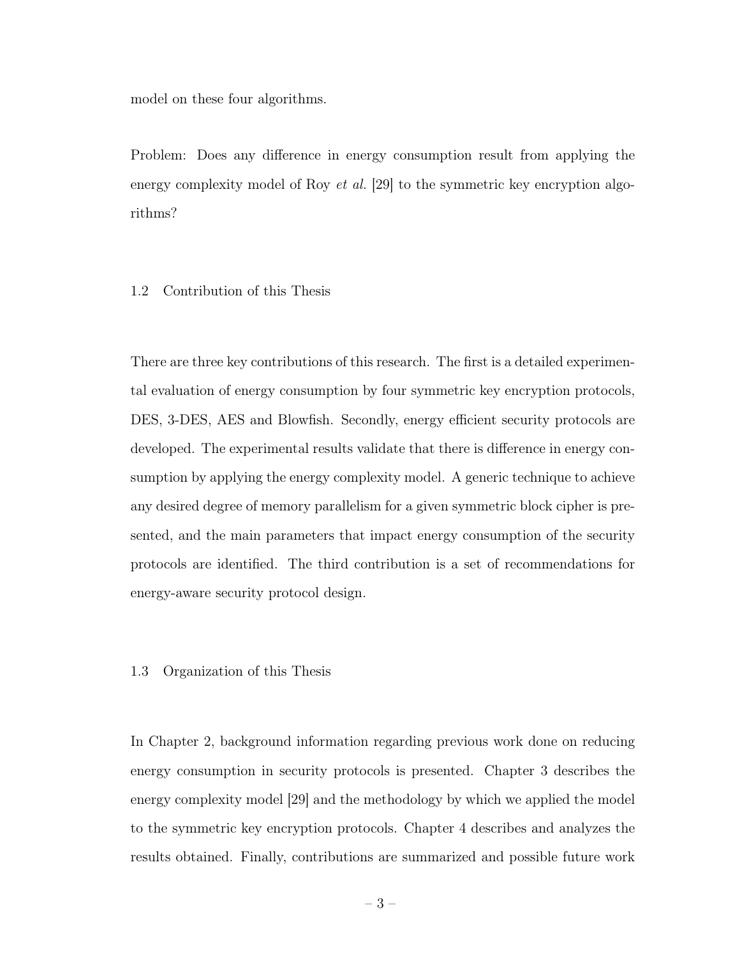model on these four algorithms.

Problem: Does any difference in energy consumption result from applying the energy complexity model of Roy *et al.* [29] to the symmetric key encryption algorithms?

# 1.2 Contribution of this Thesis

There are three key contributions of this research. The first is a detailed experimental evaluation of energy consumption by four symmetric key encryption protocols, DES, 3-DES, AES and Blowfish. Secondly, energy efficient security protocols are developed. The experimental results validate that there is difference in energy consumption by applying the energy complexity model. A generic technique to achieve any desired degree of memory parallelism for a given symmetric block cipher is presented, and the main parameters that impact energy consumption of the security protocols are identified. The third contribution is a set of recommendations for energy-aware security protocol design.

#### 1.3 Organization of this Thesis

In Chapter 2, background information regarding previous work done on reducing energy consumption in security protocols is presented. Chapter 3 describes the energy complexity model [29] and the methodology by which we applied the model to the symmetric key encryption protocols. Chapter 4 describes and analyzes the results obtained. Finally, contributions are summarized and possible future work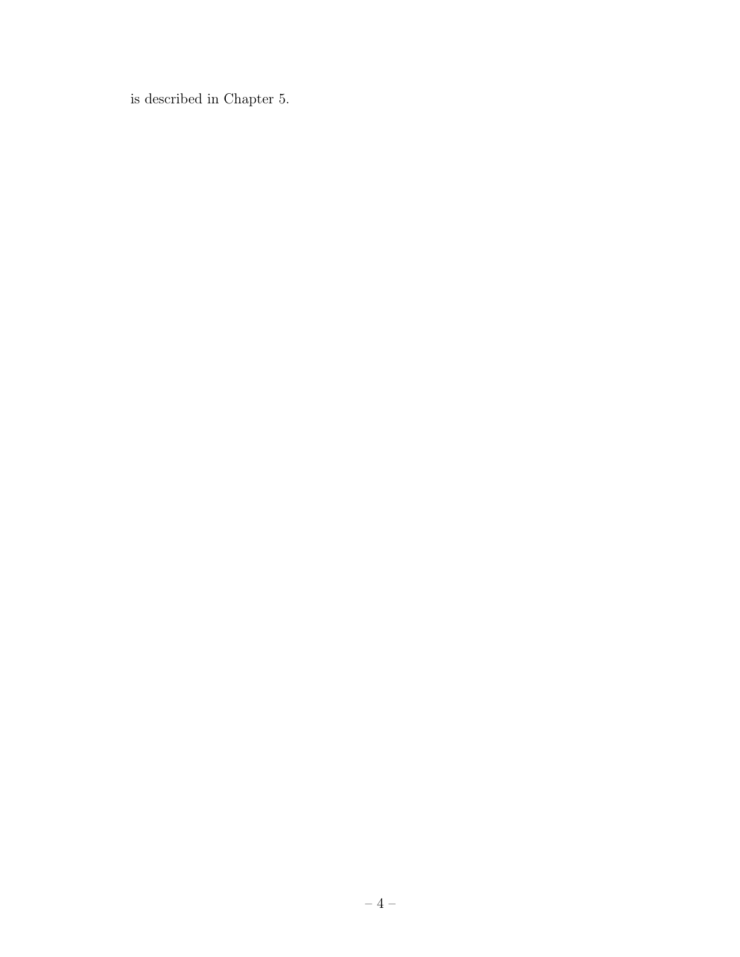is described in Chapter 5.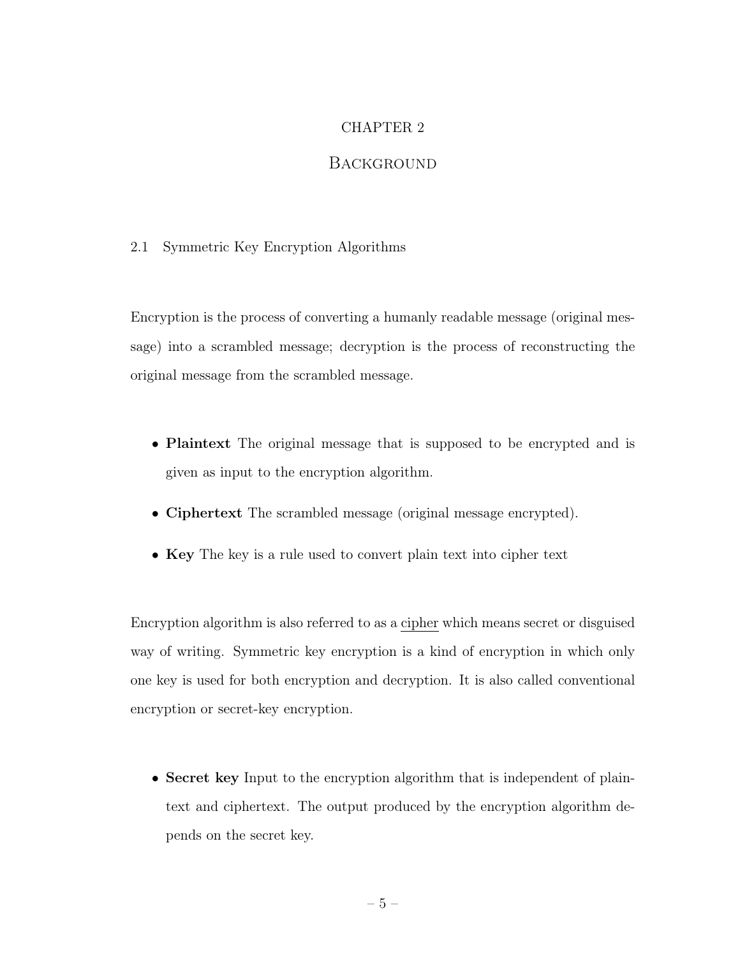# CHAPTER 2

# **BACKGROUND**

# 2.1 Symmetric Key Encryption Algorithms

Encryption is the process of converting a humanly readable message (original message) into a scrambled message; decryption is the process of reconstructing the original message from the scrambled message.

- Plaintext The original message that is supposed to be encrypted and is given as input to the encryption algorithm.
- Ciphertext The scrambled message (original message encrypted).
- Key The key is a rule used to convert plain text into cipher text

Encryption algorithm is also referred to as a cipher which means secret or disguised way of writing. Symmetric key encryption is a kind of encryption in which only one key is used for both encryption and decryption. It is also called conventional encryption or secret-key encryption.

• Secret key Input to the encryption algorithm that is independent of plaintext and ciphertext. The output produced by the encryption algorithm depends on the secret key.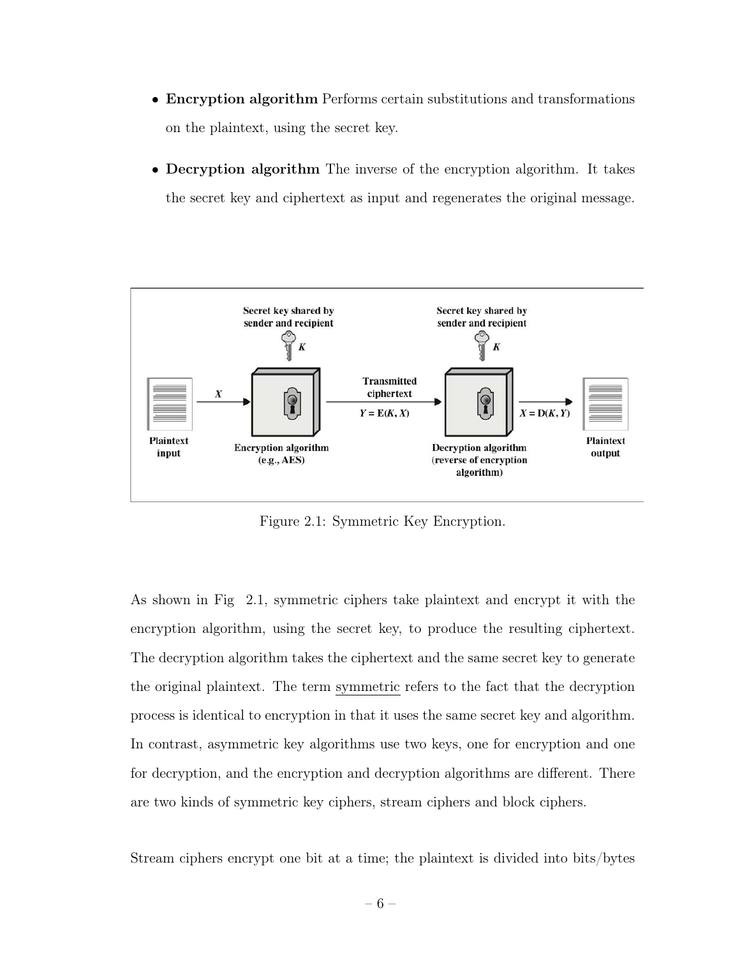- Encryption algorithm Performs certain substitutions and transformations on the plaintext, using the secret key.
- Decryption algorithm The inverse of the encryption algorithm. It takes the secret key and ciphertext as input and regenerates the original message.



Figure 2.1: Symmetric Key Encryption.

As shown in Fig 2.1, symmetric ciphers take plaintext and encrypt it with the encryption algorithm, using the secret key, to produce the resulting ciphertext. The decryption algorithm takes the ciphertext and the same secret key to generate the original plaintext. The term symmetric refers to the fact that the decryption process is identical to encryption in that it uses the same secret key and algorithm. In contrast, asymmetric key algorithms use two keys, one for encryption and one for decryption, and the encryption and decryption algorithms are different. There are two kinds of symmetric key ciphers, stream ciphers and block ciphers.

Stream ciphers encrypt one bit at a time; the plaintext is divided into bits/bytes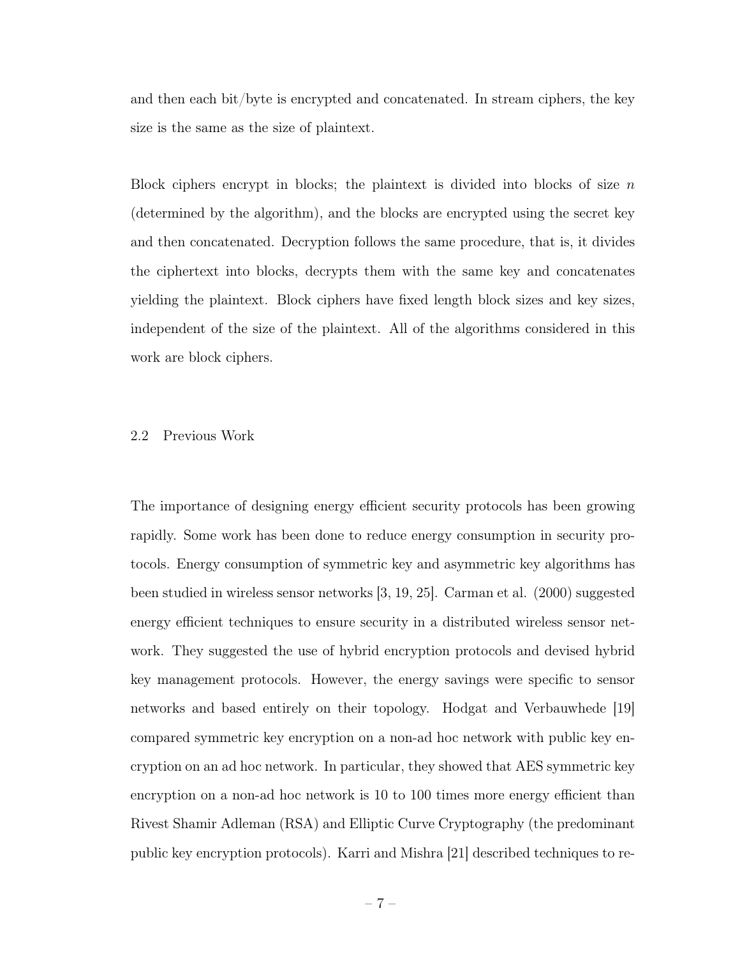and then each bit/byte is encrypted and concatenated. In stream ciphers, the key size is the same as the size of plaintext.

Block ciphers encrypt in blocks; the plaintext is divided into blocks of size  $n$ (determined by the algorithm), and the blocks are encrypted using the secret key and then concatenated. Decryption follows the same procedure, that is, it divides the ciphertext into blocks, decrypts them with the same key and concatenates yielding the plaintext. Block ciphers have fixed length block sizes and key sizes, independent of the size of the plaintext. All of the algorithms considered in this work are block ciphers.

#### 2.2 Previous Work

The importance of designing energy efficient security protocols has been growing rapidly. Some work has been done to reduce energy consumption in security protocols. Energy consumption of symmetric key and asymmetric key algorithms has been studied in wireless sensor networks [3, 19, 25]. Carman et al. (2000) suggested energy efficient techniques to ensure security in a distributed wireless sensor network. They suggested the use of hybrid encryption protocols and devised hybrid key management protocols. However, the energy savings were specific to sensor networks and based entirely on their topology. Hodgat and Verbauwhede [19] compared symmetric key encryption on a non-ad hoc network with public key encryption on an ad hoc network. In particular, they showed that AES symmetric key encryption on a non-ad hoc network is 10 to 100 times more energy efficient than Rivest Shamir Adleman (RSA) and Elliptic Curve Cryptography (the predominant public key encryption protocols). Karri and Mishra [21] described techniques to re-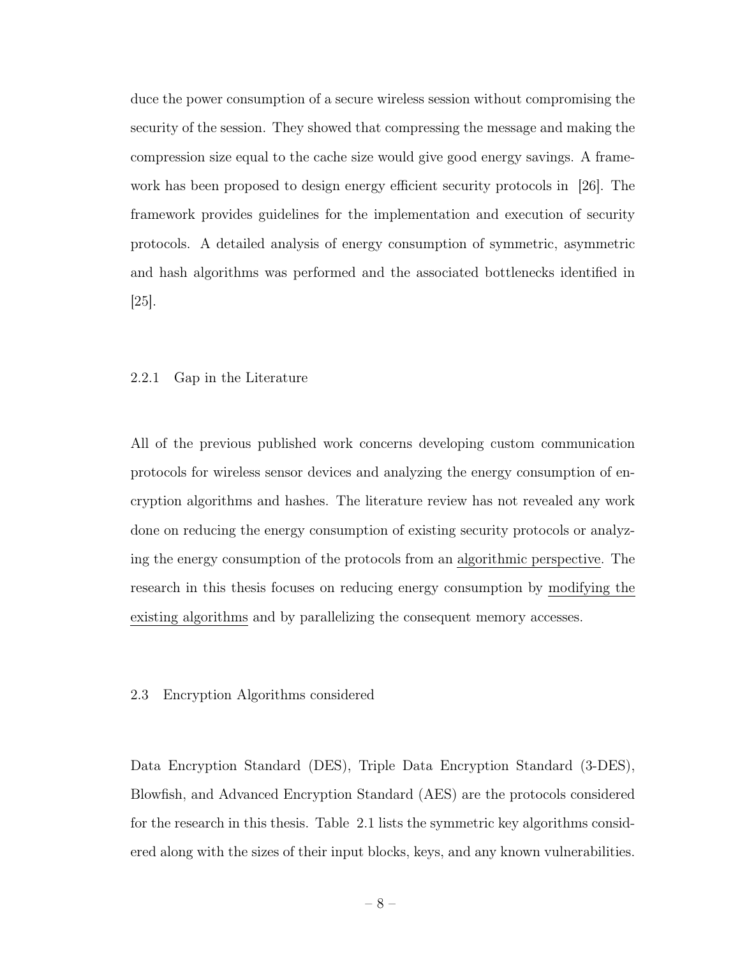duce the power consumption of a secure wireless session without compromising the security of the session. They showed that compressing the message and making the compression size equal to the cache size would give good energy savings. A framework has been proposed to design energy efficient security protocols in [26]. The framework provides guidelines for the implementation and execution of security protocols. A detailed analysis of energy consumption of symmetric, asymmetric and hash algorithms was performed and the associated bottlenecks identified in [25].

# 2.2.1 Gap in the Literature

All of the previous published work concerns developing custom communication protocols for wireless sensor devices and analyzing the energy consumption of encryption algorithms and hashes. The literature review has not revealed any work done on reducing the energy consumption of existing security protocols or analyzing the energy consumption of the protocols from an algorithmic perspective. The research in this thesis focuses on reducing energy consumption by modifying the existing algorithms and by parallelizing the consequent memory accesses.

#### 2.3 Encryption Algorithms considered

Data Encryption Standard (DES), Triple Data Encryption Standard (3-DES), Blowfish, and Advanced Encryption Standard (AES) are the protocols considered for the research in this thesis. Table 2.1 lists the symmetric key algorithms considered along with the sizes of their input blocks, keys, and any known vulnerabilities.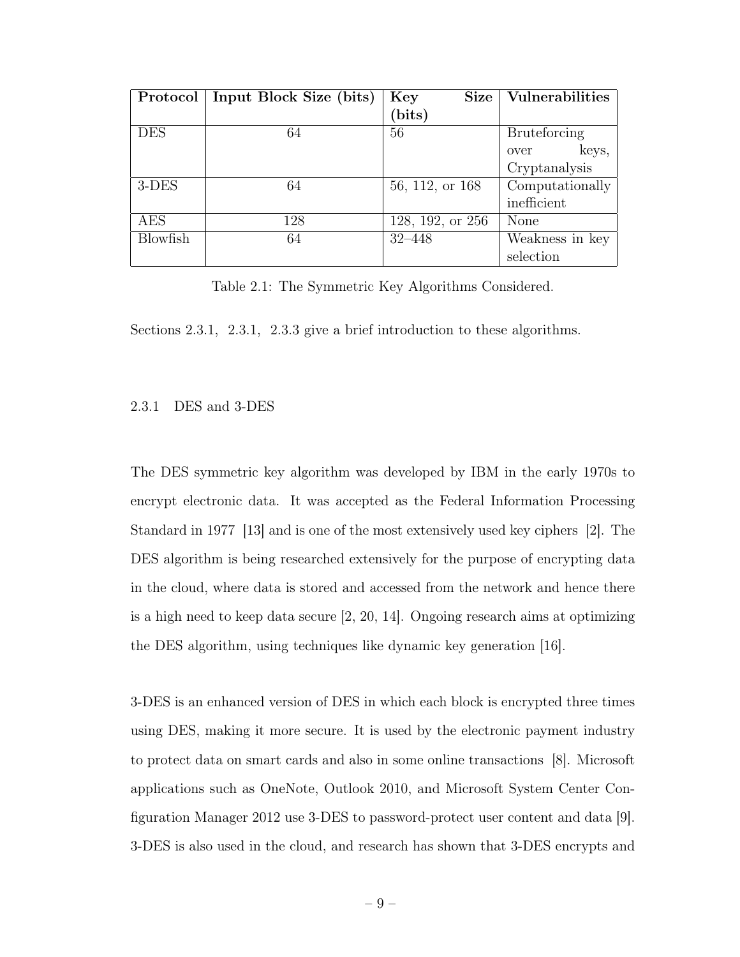| Protocol        | Input Block Size (bits) | Size<br>Key      | Vulnerabilities     |
|-----------------|-------------------------|------------------|---------------------|
|                 |                         | (bits)           |                     |
| <b>DES</b>      | 64                      | 56               | <b>Bruteforcing</b> |
|                 |                         |                  | keys,<br>over       |
|                 |                         |                  | Cryptanalysis       |
| $3$ -DES        | 64                      | 56, 112, or 168  | Computationally     |
|                 |                         |                  | inefficient         |
| AES             | 128                     | 128, 192, or 256 | None                |
| <b>Blowfish</b> | 64                      | $32 - 448$       | Weakness in key     |
|                 |                         |                  | selection           |

Table 2.1: The Symmetric Key Algorithms Considered.

Sections 2.3.1, 2.3.1, 2.3.3 give a brief introduction to these algorithms.

### 2.3.1 DES and 3-DES

The DES symmetric key algorithm was developed by IBM in the early 1970s to encrypt electronic data. It was accepted as the Federal Information Processing Standard in 1977 [13] and is one of the most extensively used key ciphers [2]. The DES algorithm is being researched extensively for the purpose of encrypting data in the cloud, where data is stored and accessed from the network and hence there is a high need to keep data secure [2, 20, 14]. Ongoing research aims at optimizing the DES algorithm, using techniques like dynamic key generation [16].

3-DES is an enhanced version of DES in which each block is encrypted three times using DES, making it more secure. It is used by the electronic payment industry to protect data on smart cards and also in some online transactions [8]. Microsoft applications such as OneNote, Outlook 2010, and Microsoft System Center Configuration Manager 2012 use 3-DES to password-protect user content and data [9]. 3-DES is also used in the cloud, and research has shown that 3-DES encrypts and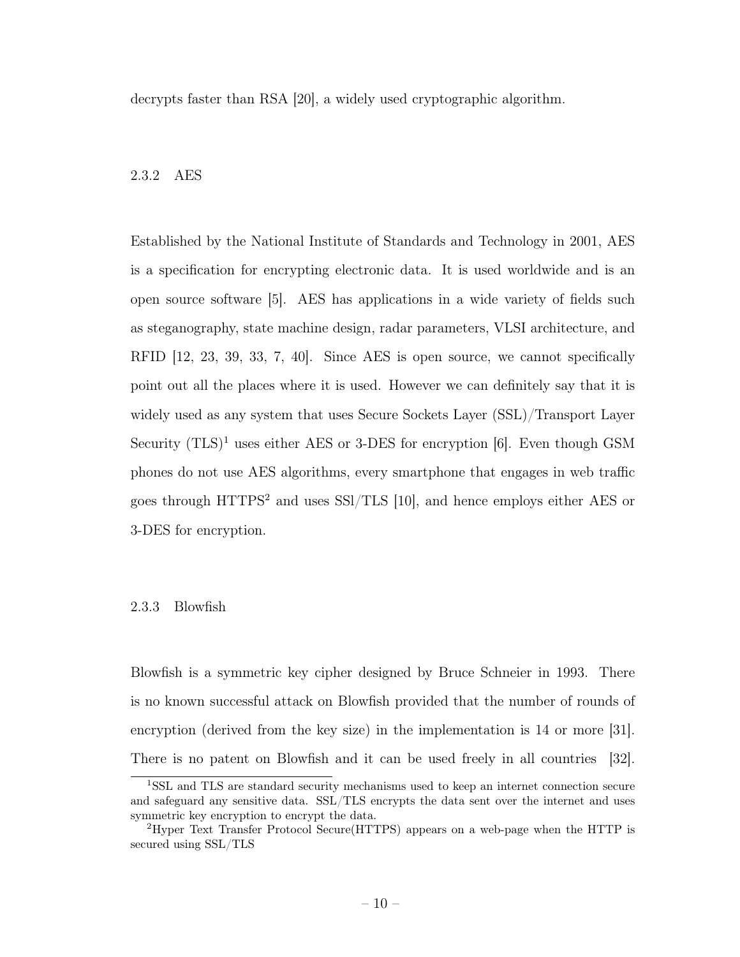decrypts faster than RSA [20], a widely used cryptographic algorithm.

#### 2.3.2 AES

Established by the National Institute of Standards and Technology in 2001, AES is a specification for encrypting electronic data. It is used worldwide and is an open source software [5]. AES has applications in a wide variety of fields such as steganography, state machine design, radar parameters, VLSI architecture, and RFID [12, 23, 39, 33, 7, 40]. Since AES is open source, we cannot specifically point out all the places where it is used. However we can definitely say that it is widely used as any system that uses Secure Sockets Layer (SSL)/Transport Layer Security  $(TLS)^1$  uses either AES or 3-DES for encryption [6]. Even though GSM phones do not use AES algorithms, every smartphone that engages in web traffic goes through HTTPS<sup>2</sup> and uses SSl/TLS [10], and hence employs either AES or 3-DES for encryption.

#### 2.3.3 Blowfish

Blowfish is a symmetric key cipher designed by Bruce Schneier in 1993. There is no known successful attack on Blowfish provided that the number of rounds of encryption (derived from the key size) in the implementation is 14 or more [31]. There is no patent on Blowfish and it can be used freely in all countries [32].

<sup>1</sup>SSL and TLS are standard security mechanisms used to keep an internet connection secure and safeguard any sensitive data. SSL/TLS encrypts the data sent over the internet and uses symmetric key encryption to encrypt the data.

<sup>2</sup>Hyper Text Transfer Protocol Secure(HTTPS) appears on a web-page when the HTTP is secured using SSL/TLS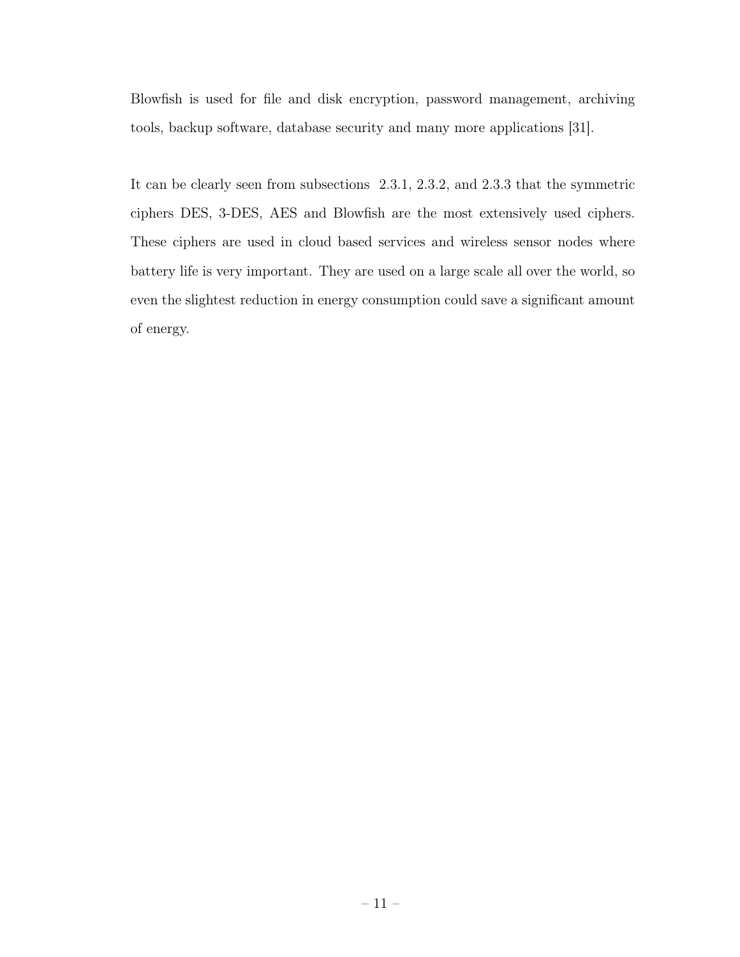Blowfish is used for file and disk encryption, password management, archiving tools, backup software, database security and many more applications [31].

It can be clearly seen from subsections 2.3.1, 2.3.2, and 2.3.3 that the symmetric ciphers DES, 3-DES, AES and Blowfish are the most extensively used ciphers. These ciphers are used in cloud based services and wireless sensor nodes where battery life is very important. They are used on a large scale all over the world, so even the slightest reduction in energy consumption could save a significant amount of energy.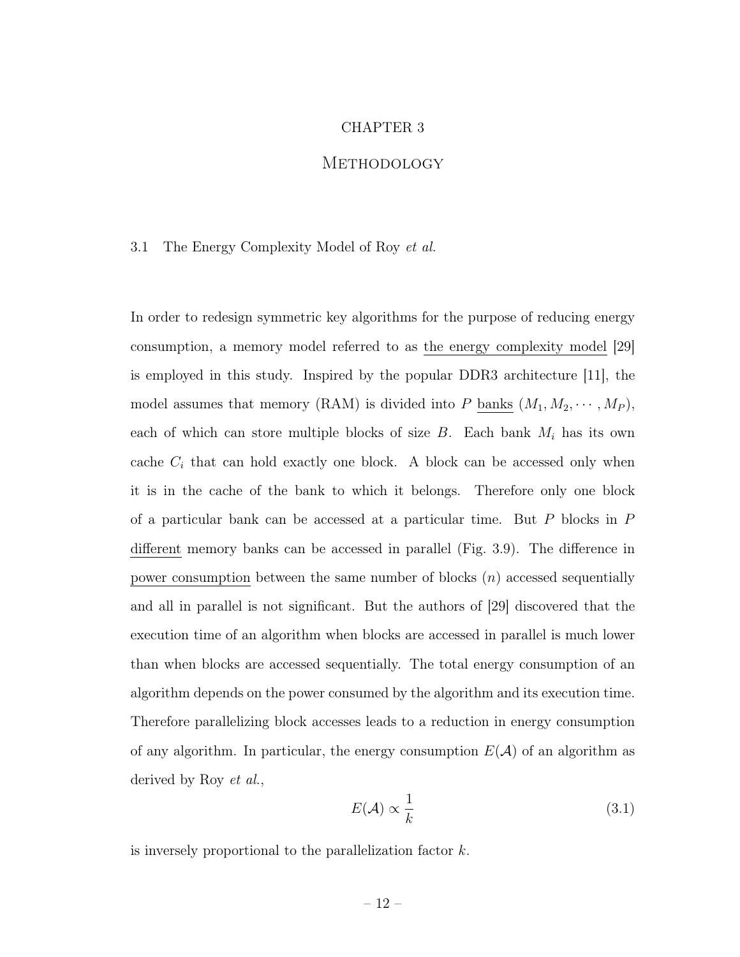#### CHAPTER 3

# **METHODOLOGY**

#### 3.1 The Energy Complexity Model of Roy et al.

In order to redesign symmetric key algorithms for the purpose of reducing energy consumption, a memory model referred to as the energy complexity model [29] is employed in this study. Inspired by the popular DDR3 architecture [11], the model assumes that memory (RAM) is divided into P banks  $(M_1, M_2, \cdots, M_P)$ , each of which can store multiple blocks of size  $B$ . Each bank  $M_i$  has its own cache  $C_i$  that can hold exactly one block. A block can be accessed only when it is in the cache of the bank to which it belongs. Therefore only one block of a particular bank can be accessed at a particular time. But P blocks in P different memory banks can be accessed in parallel (Fig. 3.9). The difference in power consumption between the same number of blocks  $(n)$  accessed sequentially and all in parallel is not significant. But the authors of [29] discovered that the execution time of an algorithm when blocks are accessed in parallel is much lower than when blocks are accessed sequentially. The total energy consumption of an algorithm depends on the power consumed by the algorithm and its execution time. Therefore parallelizing block accesses leads to a reduction in energy consumption of any algorithm. In particular, the energy consumption  $E(\mathcal{A})$  of an algorithm as derived by Roy et al.,

$$
E(\mathcal{A}) \propto \frac{1}{k} \tag{3.1}
$$

is inversely proportional to the parallelization factor k.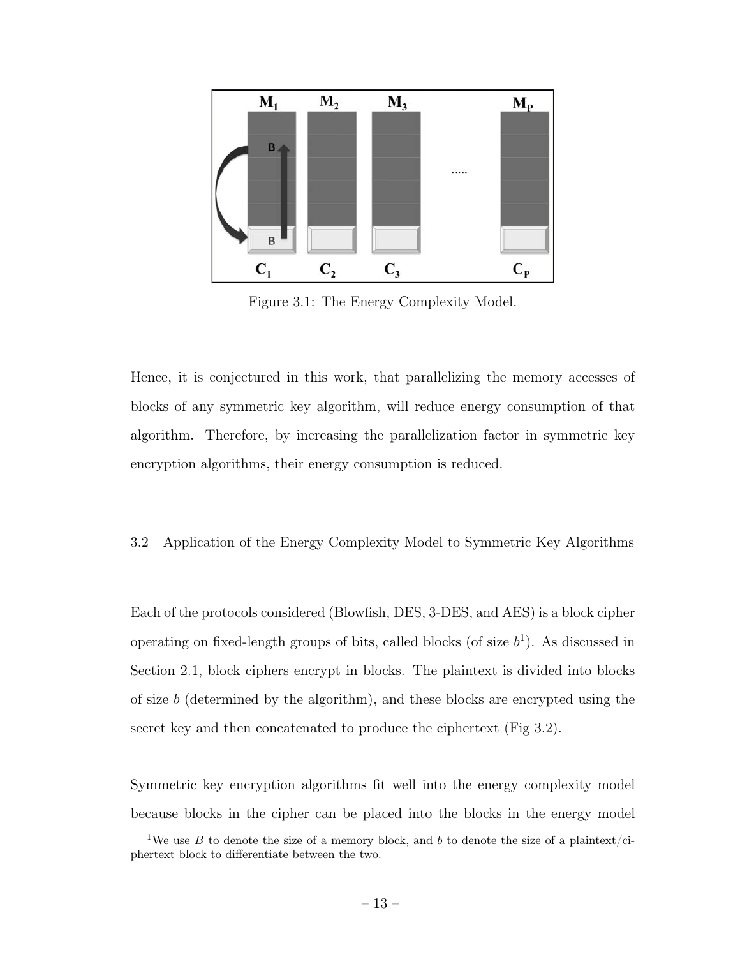

Figure 3.1: The Energy Complexity Model.

Hence, it is conjectured in this work, that parallelizing the memory accesses of blocks of any symmetric key algorithm, will reduce energy consumption of that algorithm. Therefore, by increasing the parallelization factor in symmetric key encryption algorithms, their energy consumption is reduced.

# 3.2 Application of the Energy Complexity Model to Symmetric Key Algorithms

Each of the protocols considered (Blowfish, DES, 3-DES, and AES) is a block cipher operating on fixed-length groups of bits, called blocks (of size  $b<sup>1</sup>$ ). As discussed in Section 2.1, block ciphers encrypt in blocks. The plaintext is divided into blocks of size b (determined by the algorithm), and these blocks are encrypted using the secret key and then concatenated to produce the ciphertext (Fig 3.2).

Symmetric key encryption algorithms fit well into the energy complexity model because blocks in the cipher can be placed into the blocks in the energy model

<sup>&</sup>lt;sup>1</sup>We use B to denote the size of a memory block, and b to denote the size of a plaintext/ciphertext block to differentiate between the two.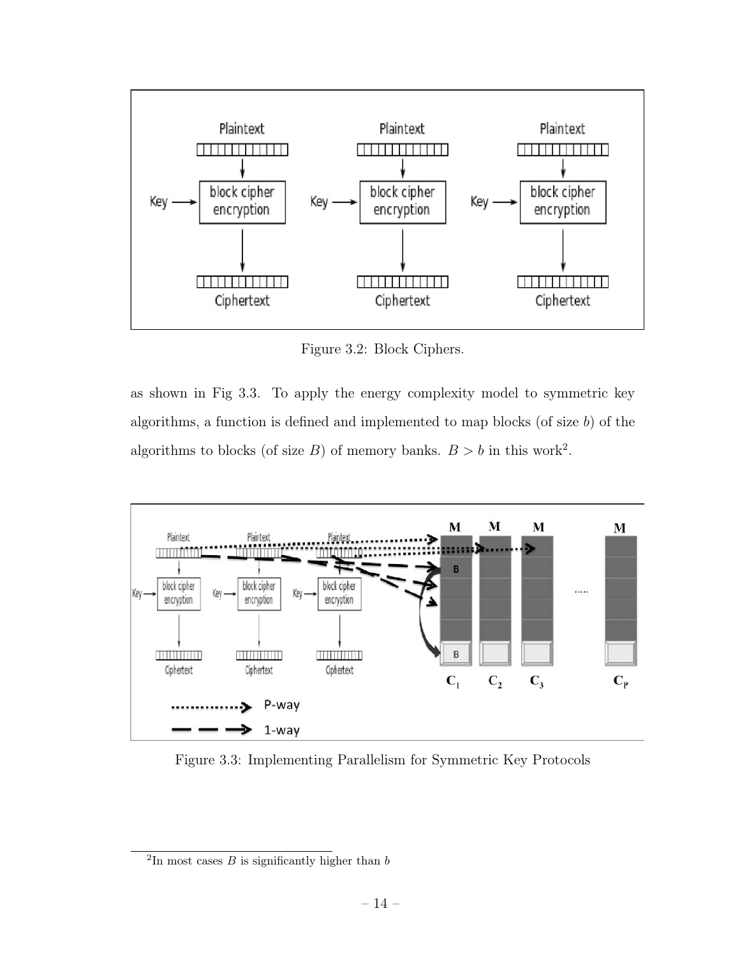

Figure 3.2: Block Ciphers.

as shown in Fig 3.3. To apply the energy complexity model to symmetric key algorithms, a function is defined and implemented to map blocks (of size  $b$ ) of the algorithms to blocks (of size B) of memory banks.  $B > b$  in this work<sup>2</sup>.



Figure 3.3: Implementing Parallelism for Symmetric Key Protocols

 ${}^{2}$ In most cases *B* is significantly higher than *b*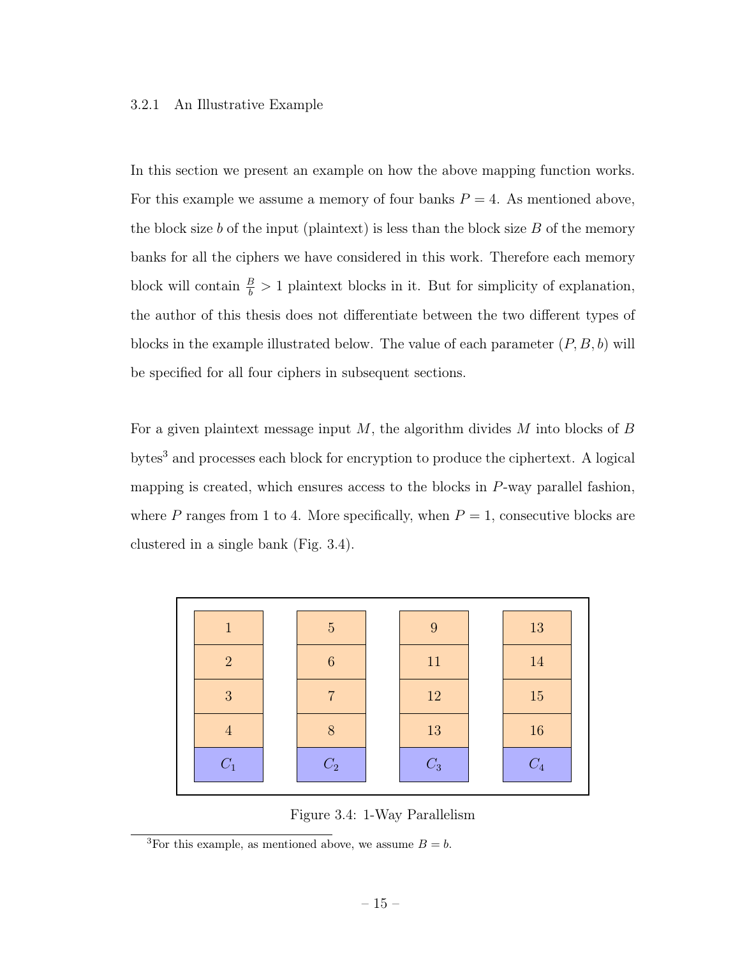#### 3.2.1 An Illustrative Example

In this section we present an example on how the above mapping function works. For this example we assume a memory of four banks  $P = 4$ . As mentioned above, the block size b of the input (plaintext) is less than the block size  $B$  of the memory banks for all the ciphers we have considered in this work. Therefore each memory block will contain  $\frac{B}{b} > 1$  plaintext blocks in it. But for simplicity of explanation, the author of this thesis does not differentiate between the two different types of blocks in the example illustrated below. The value of each parameter  $(P, B, b)$  will be specified for all four ciphers in subsequent sections.

For a given plaintext message input  $M$ , the algorithm divides  $M$  into blocks of  $B$ bytes<sup>3</sup> and processes each block for encryption to produce the ciphertext. A logical mapping is created, which ensures access to the blocks in P-way parallel fashion, where P ranges from 1 to 4. More specifically, when  $P = 1$ , consecutive blocks are clustered in a single bank (Fig. 3.4).



Figure 3.4: 1-Way Parallelism

<sup>&</sup>lt;sup>3</sup>For this example, as mentioned above, we assume  $B = b$ .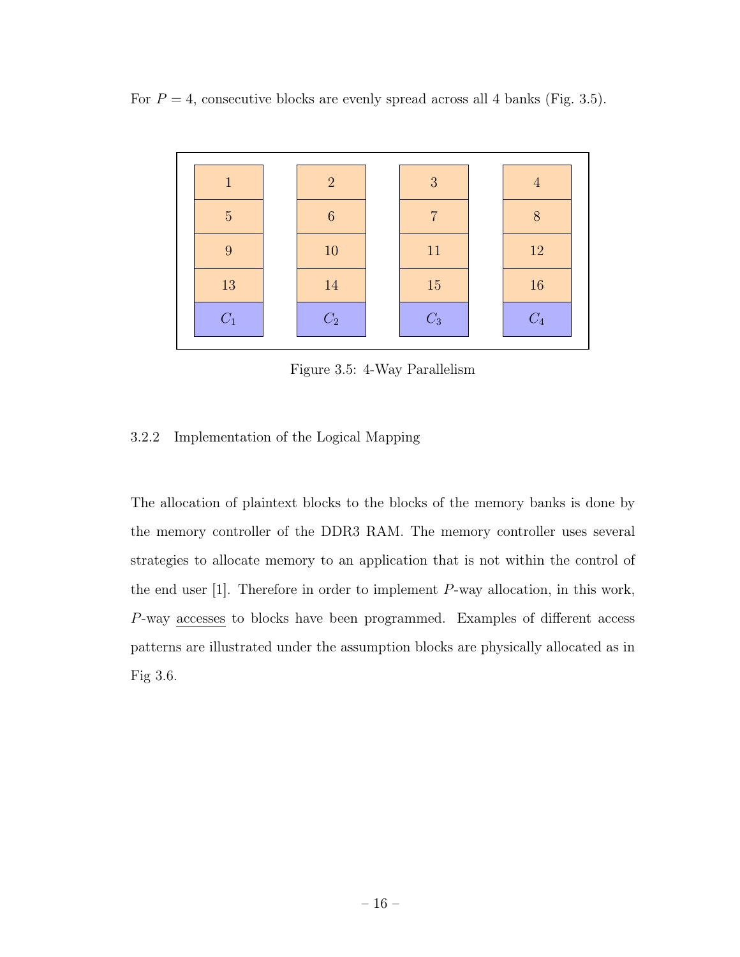For  $P = 4$ , consecutive blocks are evenly spread across all 4 banks (Fig. 3.5).



Figure 3.5: 4-Way Parallelism

# 3.2.2 Implementation of the Logical Mapping

The allocation of plaintext blocks to the blocks of the memory banks is done by the memory controller of the DDR3 RAM. The memory controller uses several strategies to allocate memory to an application that is not within the control of the end user [1]. Therefore in order to implement P-way allocation, in this work, P-way accesses to blocks have been programmed. Examples of different access patterns are illustrated under the assumption blocks are physically allocated as in Fig 3.6.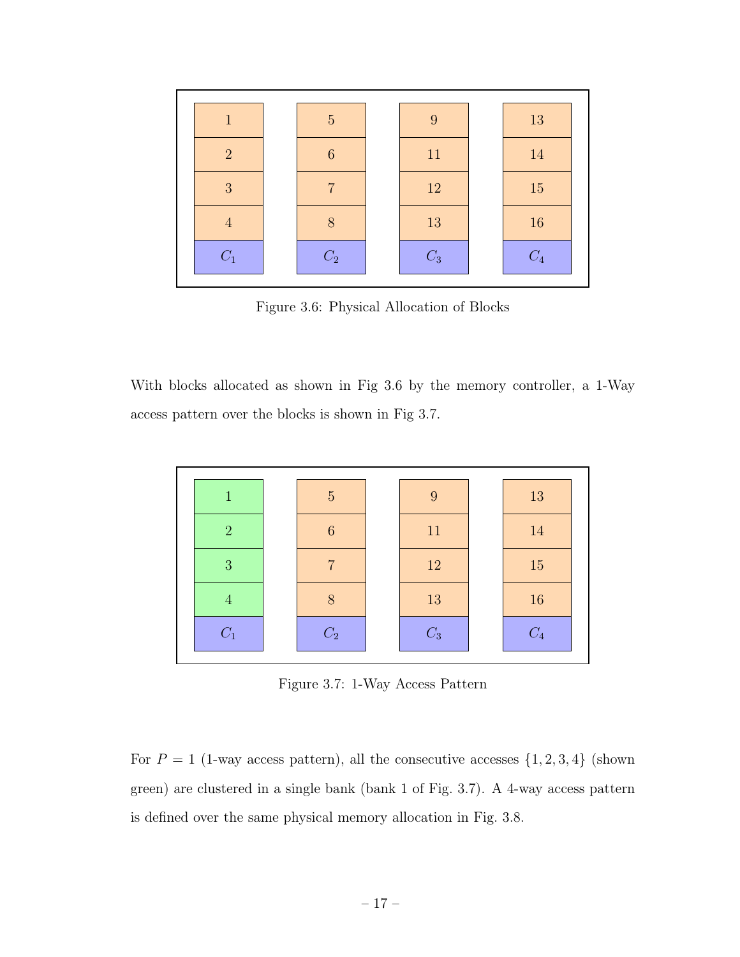

Figure 3.6: Physical Allocation of Blocks

With blocks allocated as shown in Fig 3.6 by the memory controller, a 1-Way access pattern over the blocks is shown in Fig 3.7.



Figure 3.7: 1-Way Access Pattern

For  $P = 1$  (1-way access pattern), all the consecutive accesses  $\{1, 2, 3, 4\}$  (shown green) are clustered in a single bank (bank 1 of Fig. 3.7). A 4-way access pattern is defined over the same physical memory allocation in Fig. 3.8.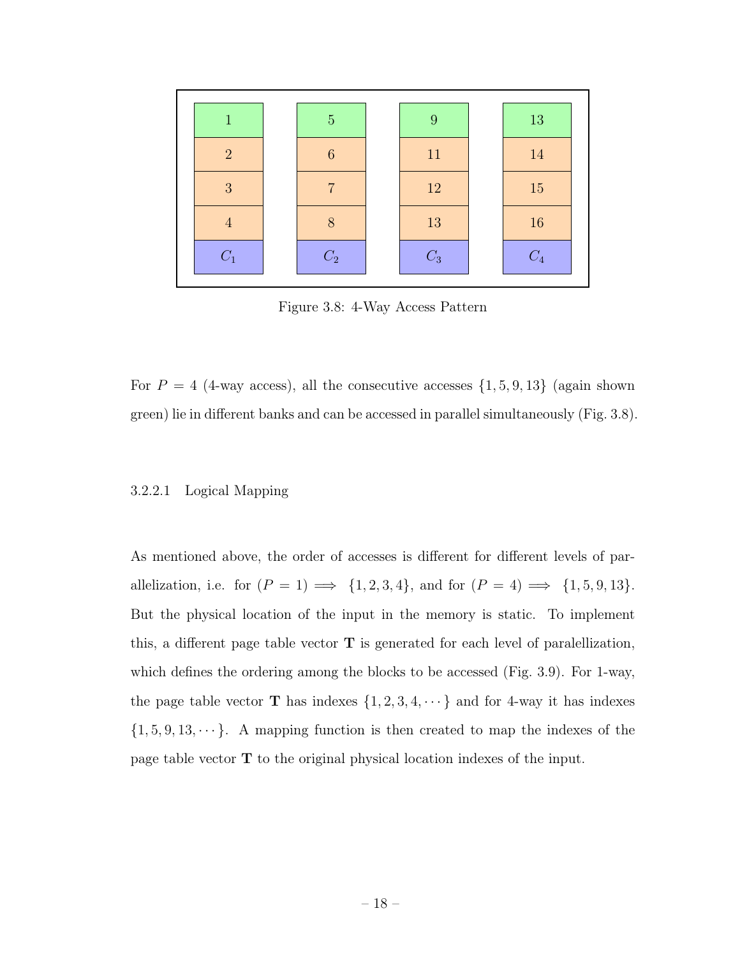

Figure 3.8: 4-Way Access Pattern

For  $P = 4$  (4-way access), all the consecutive accesses  $\{1, 5, 9, 13\}$  (again shown green) lie in different banks and can be accessed in parallel simultaneously (Fig. 3.8).

#### 3.2.2.1 Logical Mapping

As mentioned above, the order of accesses is different for different levels of parallelization, i.e. for  $(P = 1) \Longrightarrow \{1, 2, 3, 4\}$ , and for  $(P = 4) \Longrightarrow \{1, 5, 9, 13\}$ . But the physical location of the input in the memory is static. To implement this, a different page table vector T is generated for each level of paralellization, which defines the ordering among the blocks to be accessed (Fig. 3.9). For 1-way, the page table vector **T** has indexes  $\{1, 2, 3, 4, \dots\}$  and for 4-way it has indexes  $\{1, 5, 9, 13, \dots\}$ . A mapping function is then created to map the indexes of the page table vector T to the original physical location indexes of the input.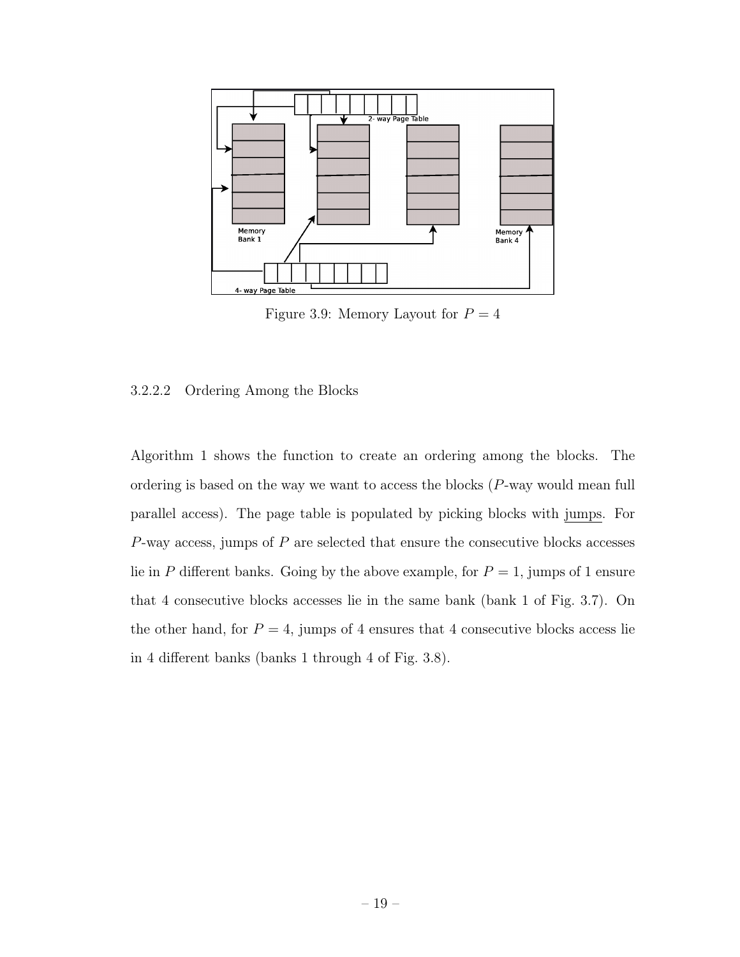

Figure 3.9: Memory Layout for  $P = 4$ 

#### 3.2.2.2 Ordering Among the Blocks

Algorithm 1 shows the function to create an ordering among the blocks. The ordering is based on the way we want to access the blocks (P-way would mean full parallel access). The page table is populated by picking blocks with jumps. For  $P$ -way access, jumps of  $P$  are selected that ensure the consecutive blocks accesses lie in P different banks. Going by the above example, for  $P = 1$ , jumps of 1 ensure that 4 consecutive blocks accesses lie in the same bank (bank 1 of Fig. 3.7). On the other hand, for  $P = 4$ , jumps of 4 ensures that 4 consecutive blocks access lie in 4 different banks (banks 1 through 4 of Fig. 3.8).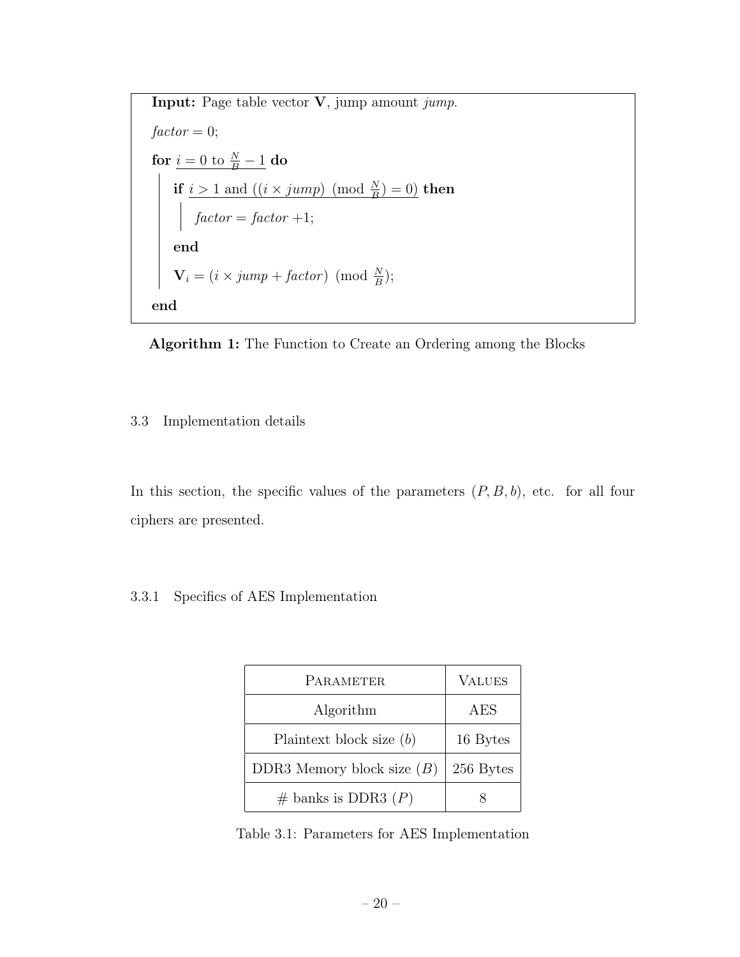Input: Page table vector V, jump amount jump.  $factor = 0;$ for  $\underline{i = 0 \text{ to } \frac{N}{B}-1}$  do if  $i > 1$  and  $((i \times jump) \pmod{\frac{N}{B}} = 0)$  then  $factor = factor +1;$ end  $\mathbf{V}_i = (i \times jump + factor) \pmod{\frac{N}{B}};$ end



### 3.3 Implementation details

In this section, the specific values of the parameters  $(P, B, b)$ , etc. for all four ciphers are presented.

# 3.3.1 Specifics of AES Implementation

| PARAMETER                    | <b>VALUES</b> |
|------------------------------|---------------|
| Algorithm                    | AES           |
| Plaintext block size $(b)$   | 16 Bytes      |
| DDR3 Memory block size $(B)$ | 256 Bytes     |
| $#$ banks is DDR3 $(P)$      |               |

Table 3.1: Parameters for AES Implementation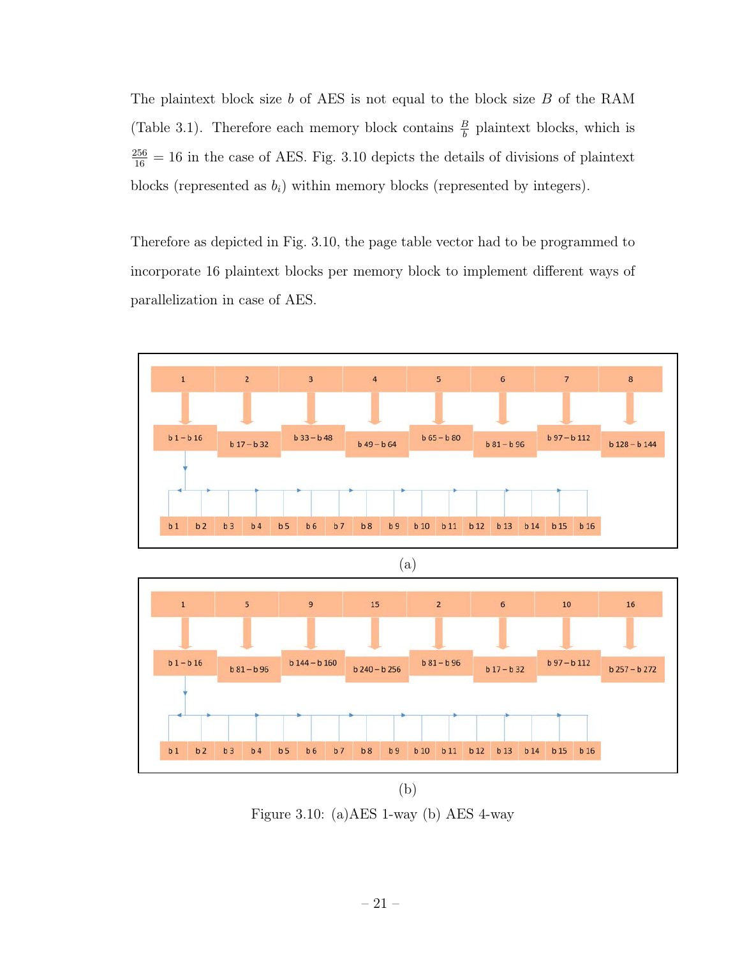The plaintext block size  $b$  of AES is not equal to the block size  $B$  of the RAM (Table 3.1). Therefore each memory block contains  $\frac{B}{b}$  plaintext blocks, which is  $\frac{256}{16}$  = 16 in the case of AES. Fig. 3.10 depicts the details of divisions of plaintext blocks (represented as  $b_i$ ) within memory blocks (represented by integers).

Therefore as depicted in Fig. 3.10, the page table vector had to be programmed to incorporate 16 plaintext blocks per memory block to implement different ways of parallelization in case of AES.





(b)

Figure 3.10: (a)AES 1-way (b) AES 4-way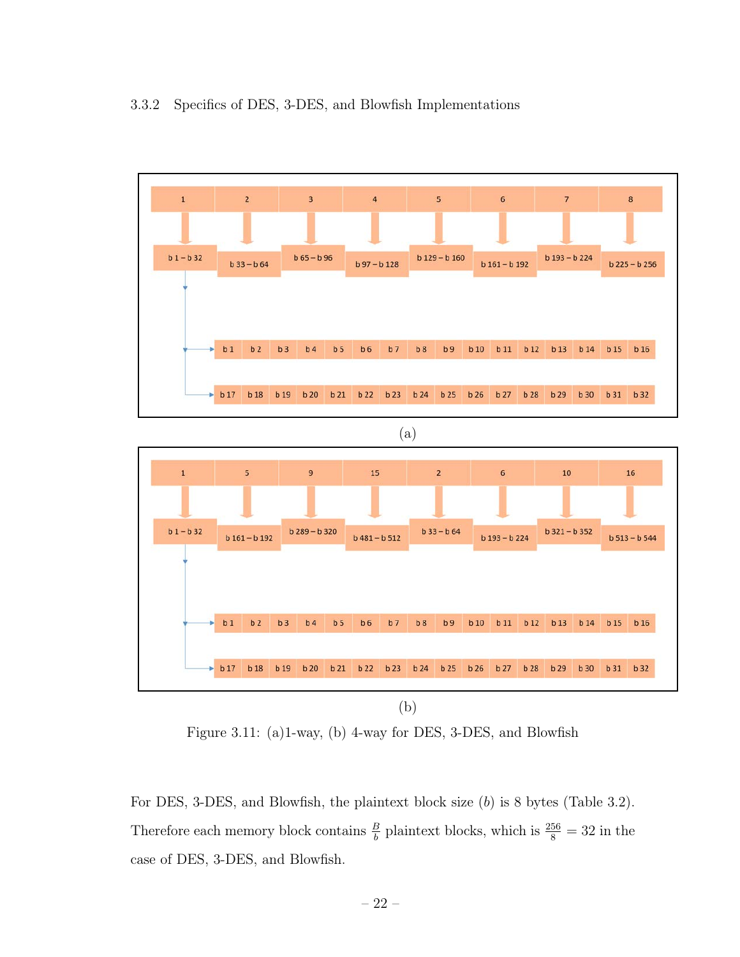



Figure 3.11: (a)1-way, (b) 4-way for DES, 3-DES, and Blowfish

For DES, 3-DES, and Blowfish, the plaintext block size (b) is 8 bytes (Table 3.2). Therefore each memory block contains  $\frac{B}{b}$  plaintext blocks, which is  $\frac{256}{8} = 32$  in the case of DES, 3-DES, and Blowfish.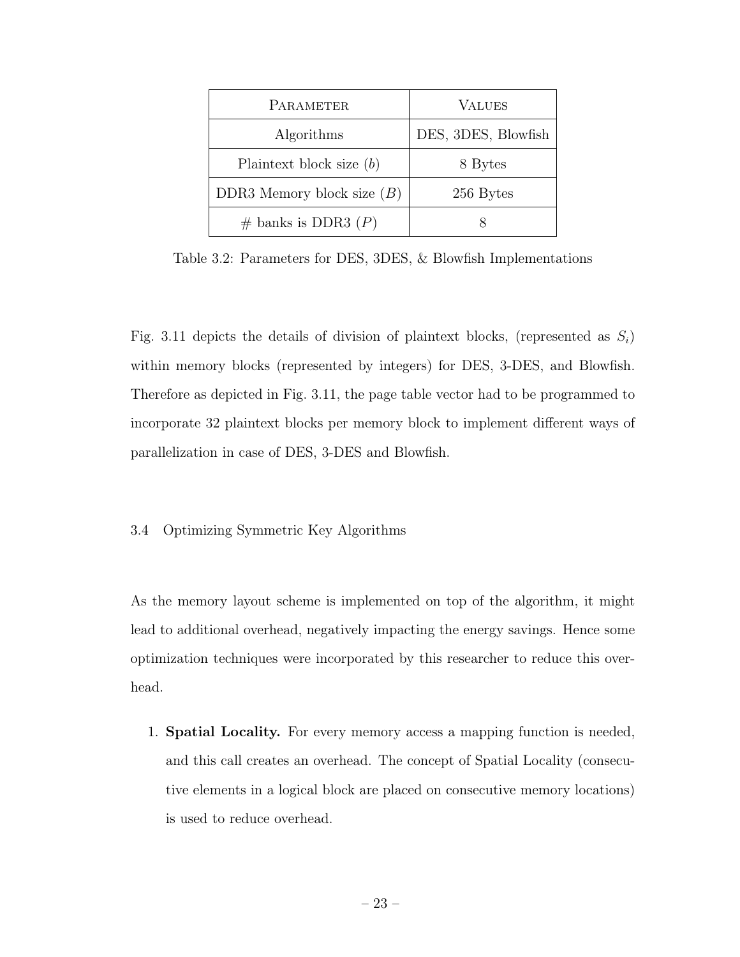| PARAMETER                    | <b>VALUES</b>       |
|------------------------------|---------------------|
| Algorithms                   | DES, 3DES, Blowfish |
| Plaintext block size $(b)$   | 8 Bytes             |
| DDR3 Memory block size $(B)$ | 256 Bytes           |
| $\#$ banks is DDR3 $(P)$     |                     |

Table 3.2: Parameters for DES, 3DES, & Blowfish Implementations

Fig. 3.11 depicts the details of division of plaintext blocks, (represented as  $S_i$ ) within memory blocks (represented by integers) for DES, 3-DES, and Blowfish. Therefore as depicted in Fig. 3.11, the page table vector had to be programmed to incorporate 32 plaintext blocks per memory block to implement different ways of parallelization in case of DES, 3-DES and Blowfish.

#### 3.4 Optimizing Symmetric Key Algorithms

As the memory layout scheme is implemented on top of the algorithm, it might lead to additional overhead, negatively impacting the energy savings. Hence some optimization techniques were incorporated by this researcher to reduce this overhead.

1. Spatial Locality. For every memory access a mapping function is needed, and this call creates an overhead. The concept of Spatial Locality (consecutive elements in a logical block are placed on consecutive memory locations) is used to reduce overhead.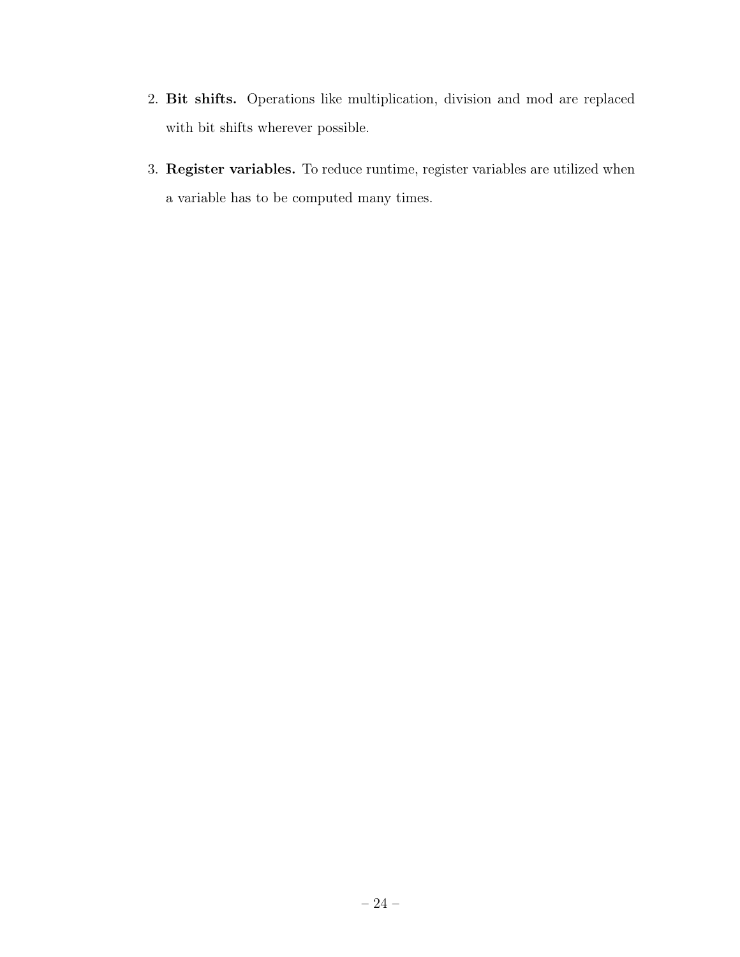- 2. Bit shifts. Operations like multiplication, division and mod are replaced with bit shifts wherever possible.
- 3. Register variables. To reduce runtime, register variables are utilized when a variable has to be computed many times.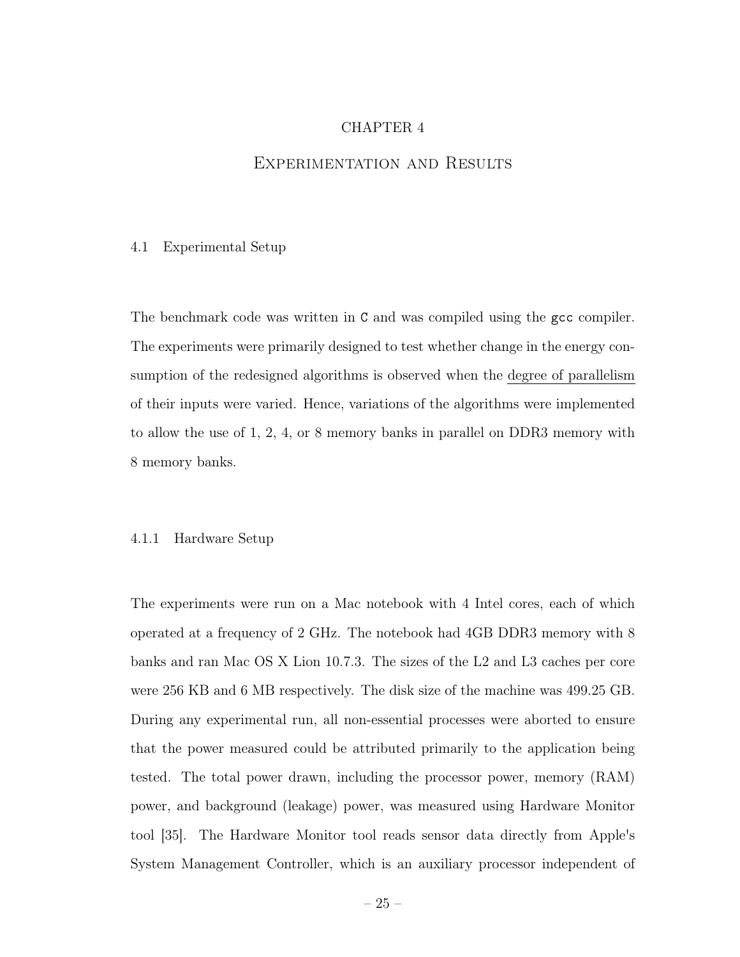# CHAPTER 4

### Experimentation and Results

#### 4.1 Experimental Setup

The benchmark code was written in C and was compiled using the gcc compiler. The experiments were primarily designed to test whether change in the energy consumption of the redesigned algorithms is observed when the degree of parallelism of their inputs were varied. Hence, variations of the algorithms were implemented to allow the use of 1, 2, 4, or 8 memory banks in parallel on DDR3 memory with 8 memory banks.

#### 4.1.1 Hardware Setup

The experiments were run on a Mac notebook with 4 Intel cores, each of which operated at a frequency of 2 GHz. The notebook had 4GB DDR3 memory with 8 banks and ran Mac OS X Lion 10.7.3. The sizes of the L2 and L3 caches per core were 256 KB and 6 MB respectively. The disk size of the machine was 499.25 GB. During any experimental run, all non-essential processes were aborted to ensure that the power measured could be attributed primarily to the application being tested. The total power drawn, including the processor power, memory (RAM) power, and background (leakage) power, was measured using Hardware Monitor tool [35]. The Hardware Monitor tool reads sensor data directly from Apple's System Management Controller, which is an auxiliary processor independent of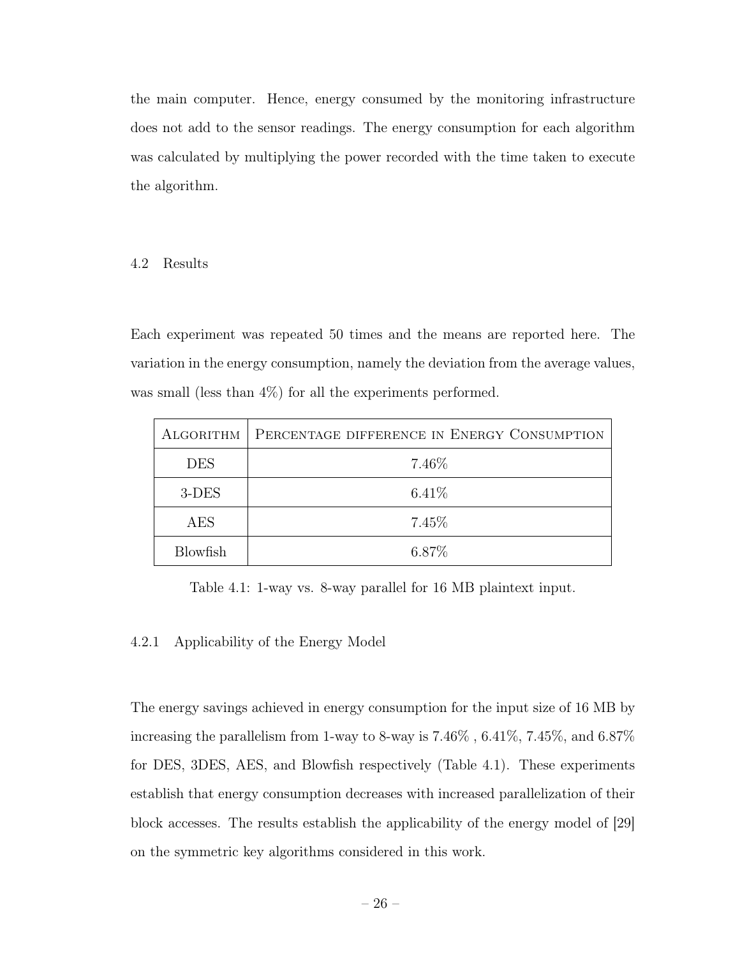the main computer. Hence, energy consumed by the monitoring infrastructure does not add to the sensor readings. The energy consumption for each algorithm was calculated by multiplying the power recorded with the time taken to execute the algorithm.

### 4.2 Results

Each experiment was repeated 50 times and the means are reported here. The variation in the energy consumption, namely the deviation from the average values, was small (less than 4%) for all the experiments performed.

| ALGORITHM       | PERCENTAGE DIFFERENCE IN ENERGY CONSUMPTION |
|-----------------|---------------------------------------------|
| <b>DES</b>      | 7.46\%                                      |
| $3$ -DES        | 6.41%                                       |
| <b>AES</b>      | 7.45\%                                      |
| <b>Blowfish</b> | 6.87%                                       |

Table 4.1: 1-way vs. 8-way parallel for 16 MB plaintext input.

# 4.2.1 Applicability of the Energy Model

The energy savings achieved in energy consumption for the input size of 16 MB by increasing the parallelism from 1-way to 8-way is 7.46% , 6.41%, 7.45%, and 6.87% for DES, 3DES, AES, and Blowfish respectively (Table 4.1). These experiments establish that energy consumption decreases with increased parallelization of their block accesses. The results establish the applicability of the energy model of [29] on the symmetric key algorithms considered in this work.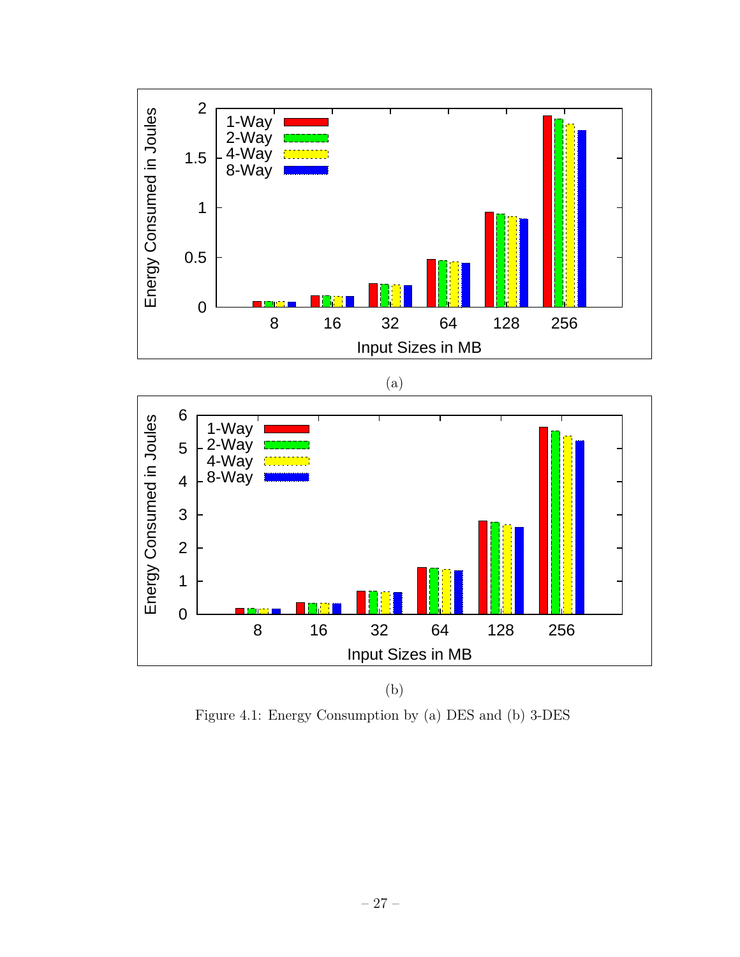



(b)

Figure 4.1: Energy Consumption by (a) DES and (b) 3-DES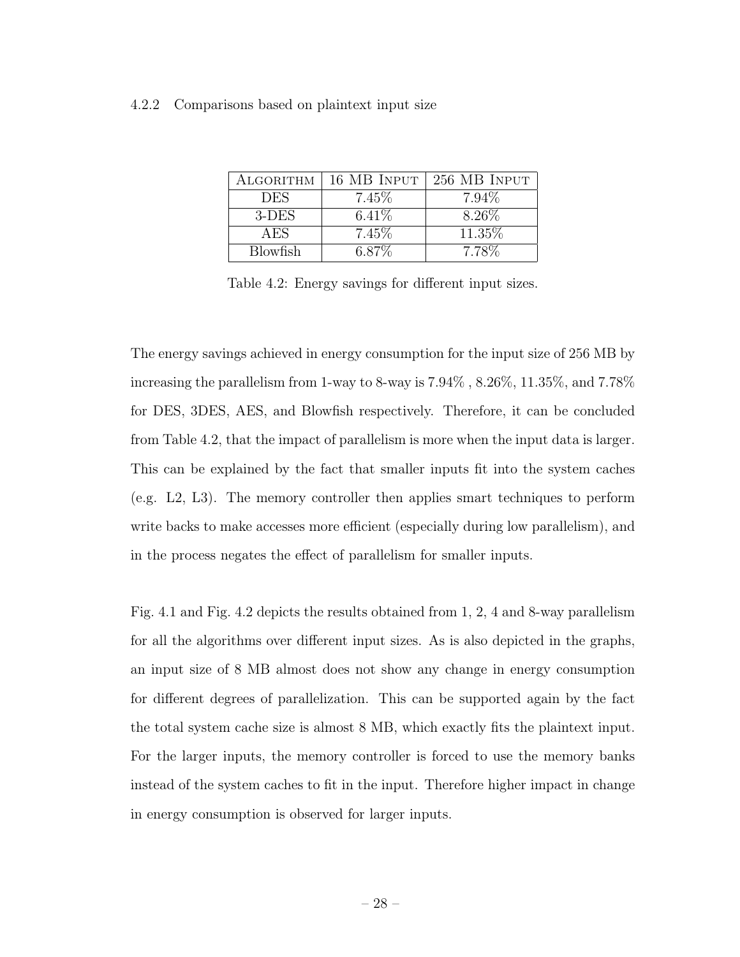#### 4.2.2 Comparisons based on plaintext input size

| ALGORITHM       | 16 MB INPUT | 256 MB INPUT |
|-----------------|-------------|--------------|
| <b>DES</b>      | 7.45\%      | 7.94\%       |
| 3-DES           | $6.41\%$    | 8.26\%       |
| AES             | 7.45\%      | 11.35\%      |
| <b>Blowfish</b> | 6.87\%      | 7.78\%       |

Table 4.2: Energy savings for different input sizes.

The energy savings achieved in energy consumption for the input size of 256 MB by increasing the parallelism from 1-way to 8-way is 7.94% , 8.26%, 11.35%, and 7.78% for DES, 3DES, AES, and Blowfish respectively. Therefore, it can be concluded from Table 4.2, that the impact of parallelism is more when the input data is larger. This can be explained by the fact that smaller inputs fit into the system caches (e.g. L2, L3). The memory controller then applies smart techniques to perform write backs to make accesses more efficient (especially during low parallelism), and in the process negates the effect of parallelism for smaller inputs.

Fig. 4.1 and Fig. 4.2 depicts the results obtained from 1, 2, 4 and 8-way parallelism for all the algorithms over different input sizes. As is also depicted in the graphs, an input size of 8 MB almost does not show any change in energy consumption for different degrees of parallelization. This can be supported again by the fact the total system cache size is almost 8 MB, which exactly fits the plaintext input. For the larger inputs, the memory controller is forced to use the memory banks instead of the system caches to fit in the input. Therefore higher impact in change in energy consumption is observed for larger inputs.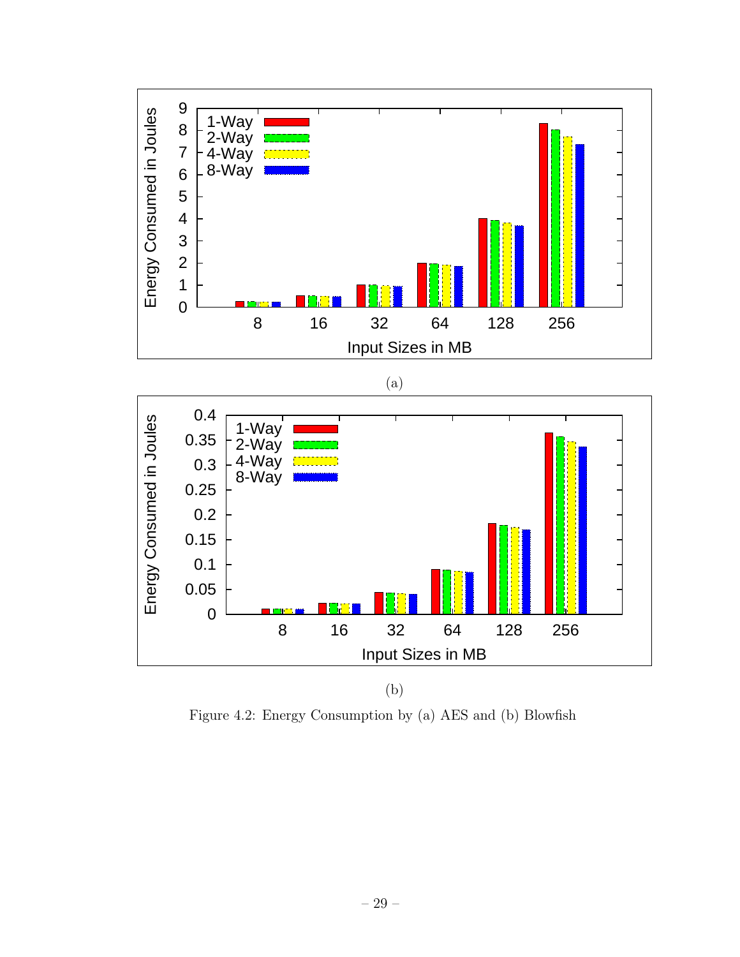

Figure 4.2: Energy Consumption by (a) AES and (b) Blowfish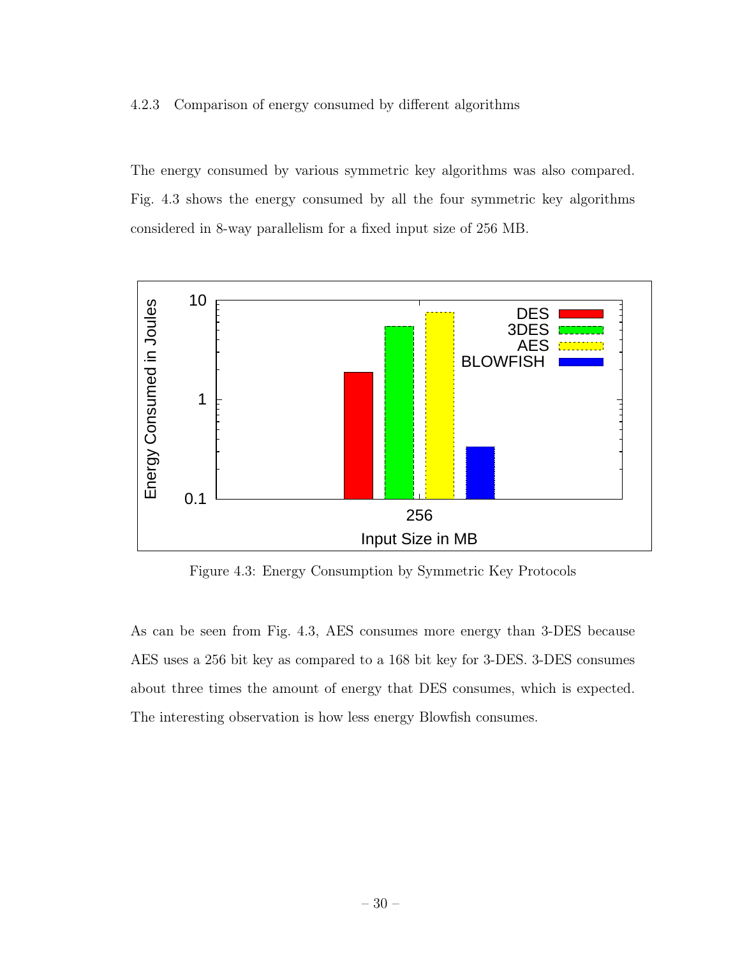#### 4.2.3 Comparison of energy consumed by different algorithms

The energy consumed by various symmetric key algorithms was also compared. Fig. 4.3 shows the energy consumed by all the four symmetric key algorithms considered in 8-way parallelism for a fixed input size of 256 MB.



Figure 4.3: Energy Consumption by Symmetric Key Protocols

As can be seen from Fig. 4.3, AES consumes more energy than 3-DES because AES uses a 256 bit key as compared to a 168 bit key for 3-DES. 3-DES consumes about three times the amount of energy that DES consumes, which is expected. The interesting observation is how less energy Blowfish consumes.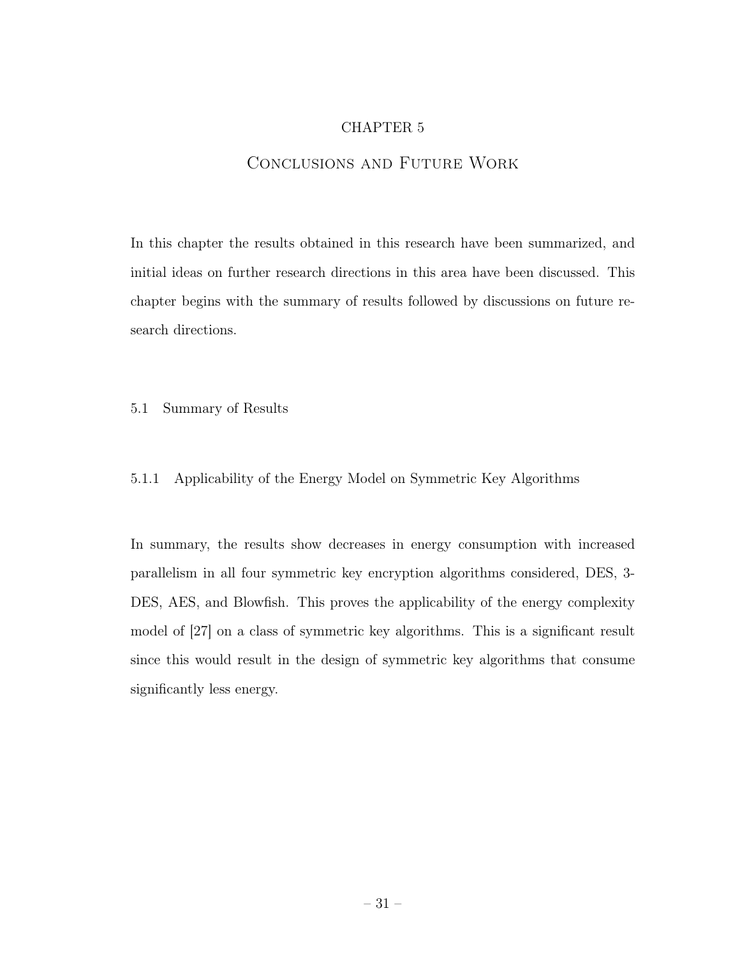# CHAPTER 5

# Conclusions and Future Work

In this chapter the results obtained in this research have been summarized, and initial ideas on further research directions in this area have been discussed. This chapter begins with the summary of results followed by discussions on future research directions.

#### 5.1 Summary of Results

# 5.1.1 Applicability of the Energy Model on Symmetric Key Algorithms

In summary, the results show decreases in energy consumption with increased parallelism in all four symmetric key encryption algorithms considered, DES, 3- DES, AES, and Blowfish. This proves the applicability of the energy complexity model of [27] on a class of symmetric key algorithms. This is a significant result since this would result in the design of symmetric key algorithms that consume significantly less energy.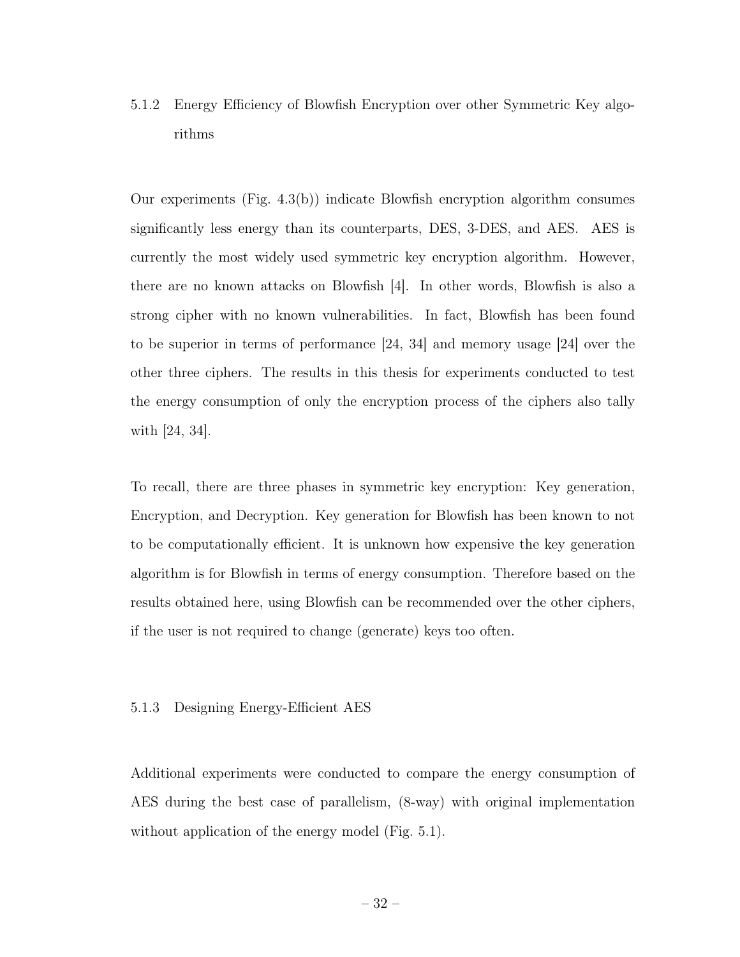5.1.2 Energy Efficiency of Blowfish Encryption over other Symmetric Key algorithms

Our experiments (Fig. 4.3(b)) indicate Blowfish encryption algorithm consumes significantly less energy than its counterparts, DES, 3-DES, and AES. AES is currently the most widely used symmetric key encryption algorithm. However, there are no known attacks on Blowfish [4]. In other words, Blowfish is also a strong cipher with no known vulnerabilities. In fact, Blowfish has been found to be superior in terms of performance [24, 34] and memory usage [24] over the other three ciphers. The results in this thesis for experiments conducted to test the energy consumption of only the encryption process of the ciphers also tally with [24, 34].

To recall, there are three phases in symmetric key encryption: Key generation, Encryption, and Decryption. Key generation for Blowfish has been known to not to be computationally efficient. It is unknown how expensive the key generation algorithm is for Blowfish in terms of energy consumption. Therefore based on the results obtained here, using Blowfish can be recommended over the other ciphers, if the user is not required to change (generate) keys too often.

#### 5.1.3 Designing Energy-Efficient AES

Additional experiments were conducted to compare the energy consumption of AES during the best case of parallelism, (8-way) with original implementation without application of the energy model (Fig. 5.1).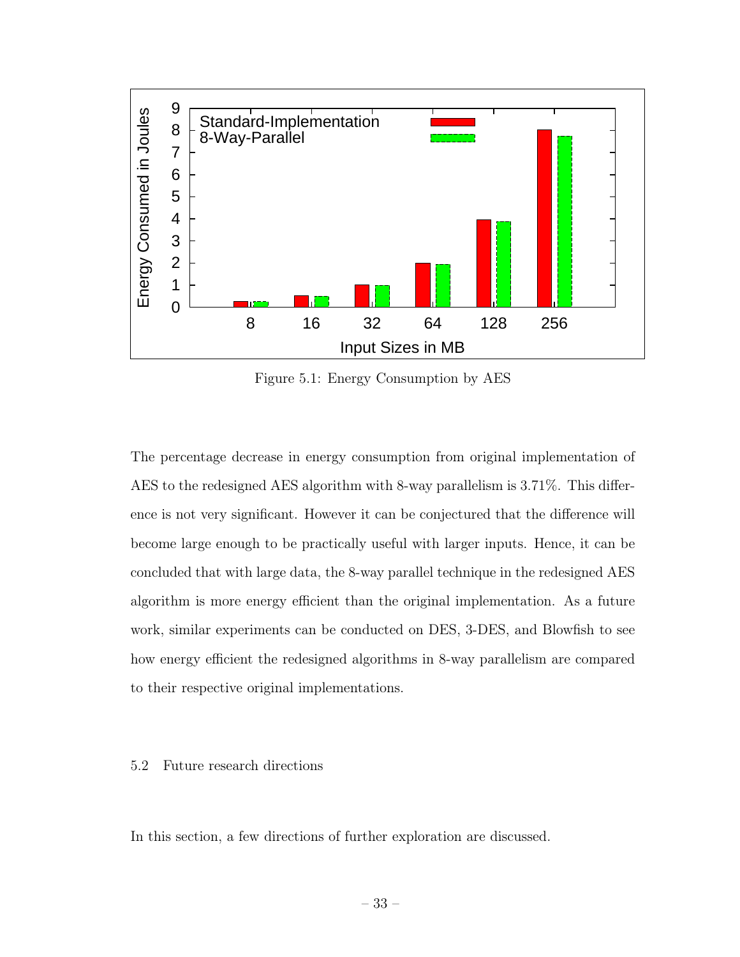

Figure 5.1: Energy Consumption by AES

The percentage decrease in energy consumption from original implementation of AES to the redesigned AES algorithm with 8-way parallelism is 3.71%. This difference is not very significant. However it can be conjectured that the difference will become large enough to be practically useful with larger inputs. Hence, it can be concluded that with large data, the 8-way parallel technique in the redesigned AES algorithm is more energy efficient than the original implementation. As a future work, similar experiments can be conducted on DES, 3-DES, and Blowfish to see how energy efficient the redesigned algorithms in 8-way parallelism are compared to their respective original implementations.

# 5.2 Future research directions

In this section, a few directions of further exploration are discussed.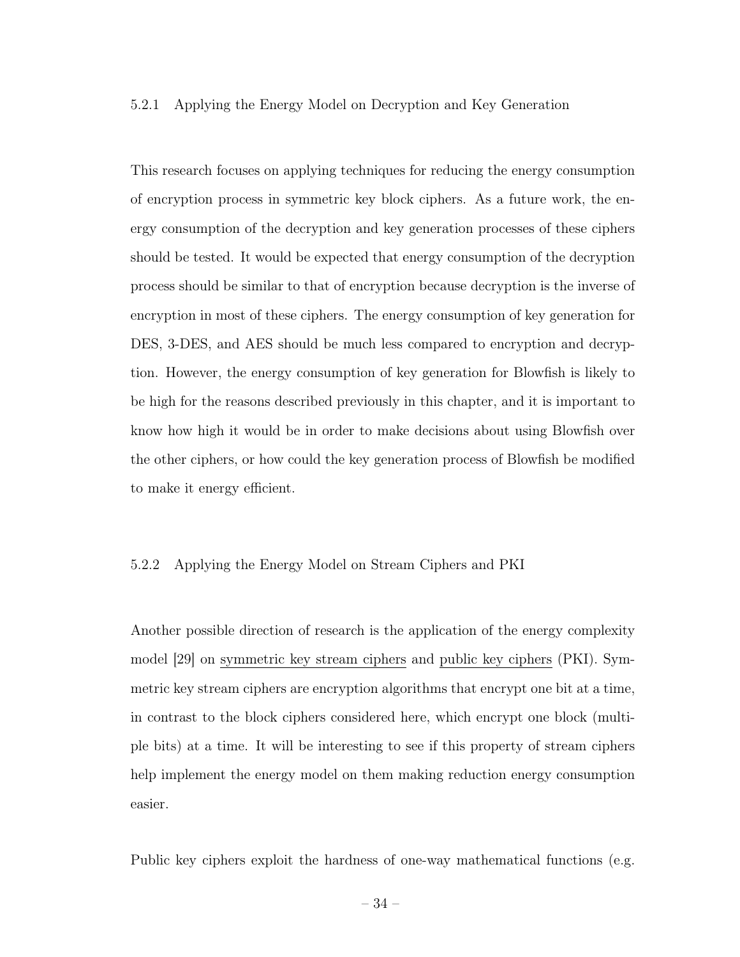#### 5.2.1 Applying the Energy Model on Decryption and Key Generation

This research focuses on applying techniques for reducing the energy consumption of encryption process in symmetric key block ciphers. As a future work, the energy consumption of the decryption and key generation processes of these ciphers should be tested. It would be expected that energy consumption of the decryption process should be similar to that of encryption because decryption is the inverse of encryption in most of these ciphers. The energy consumption of key generation for DES, 3-DES, and AES should be much less compared to encryption and decryption. However, the energy consumption of key generation for Blowfish is likely to be high for the reasons described previously in this chapter, and it is important to know how high it would be in order to make decisions about using Blowfish over the other ciphers, or how could the key generation process of Blowfish be modified to make it energy efficient.

#### 5.2.2 Applying the Energy Model on Stream Ciphers and PKI

Another possible direction of research is the application of the energy complexity model [29] on symmetric key stream ciphers and public key ciphers (PKI). Symmetric key stream ciphers are encryption algorithms that encrypt one bit at a time, in contrast to the block ciphers considered here, which encrypt one block (multiple bits) at a time. It will be interesting to see if this property of stream ciphers help implement the energy model on them making reduction energy consumption easier.

Public key ciphers exploit the hardness of one-way mathematical functions (e.g.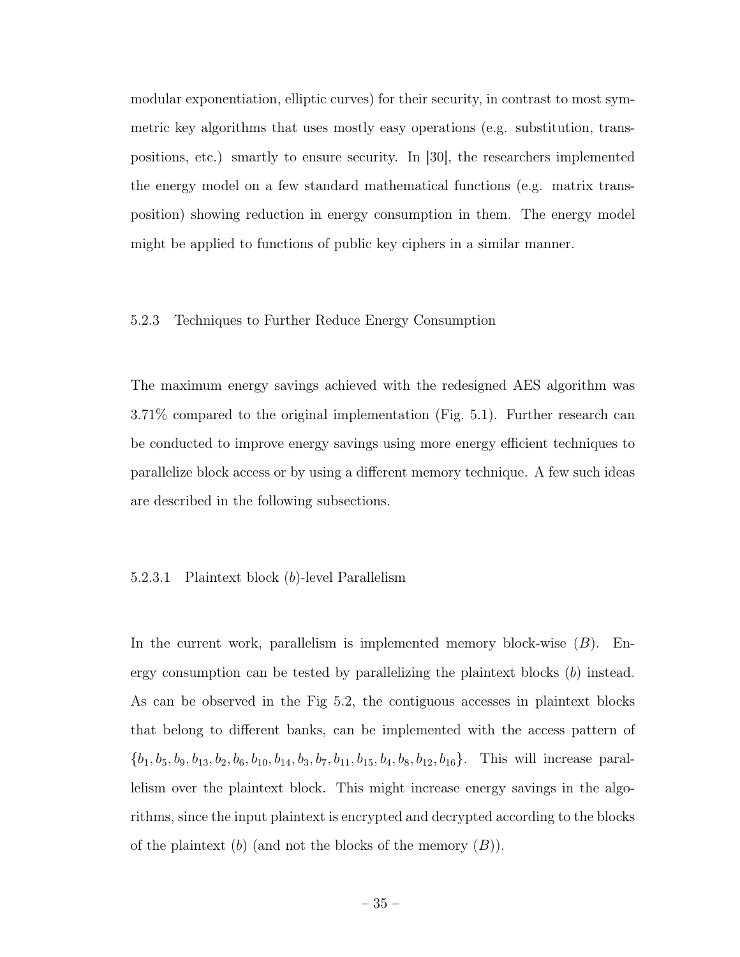modular exponentiation, elliptic curves) for their security, in contrast to most symmetric key algorithms that uses mostly easy operations (e.g. substitution, transpositions, etc.) smartly to ensure security. In [30], the researchers implemented the energy model on a few standard mathematical functions (e.g. matrix transposition) showing reduction in energy consumption in them. The energy model might be applied to functions of public key ciphers in a similar manner.

#### 5.2.3 Techniques to Further Reduce Energy Consumption

The maximum energy savings achieved with the redesigned AES algorithm was 3.71% compared to the original implementation (Fig. 5.1). Further research can be conducted to improve energy savings using more energy efficient techniques to parallelize block access or by using a different memory technique. A few such ideas are described in the following subsections.

#### 5.2.3.1 Plaintext block (b)-level Parallelism

In the current work, parallelism is implemented memory block-wise  $(B)$ . Energy consumption can be tested by parallelizing the plaintext blocks (b) instead. As can be observed in the Fig 5.2, the contiguous accesses in plaintext blocks that belong to different banks, can be implemented with the access pattern of  $\{b_1, b_5, b_9, b_{13}, b_2, b_6, b_{10}, b_{14}, b_3, b_7, b_{11}, b_{15}, b_4, b_8, b_{12}, b_{16}\}.$  This will increase parallelism over the plaintext block. This might increase energy savings in the algorithms, since the input plaintext is encrypted and decrypted according to the blocks of the plaintext  $(b)$  (and not the blocks of the memory  $(B)$ ).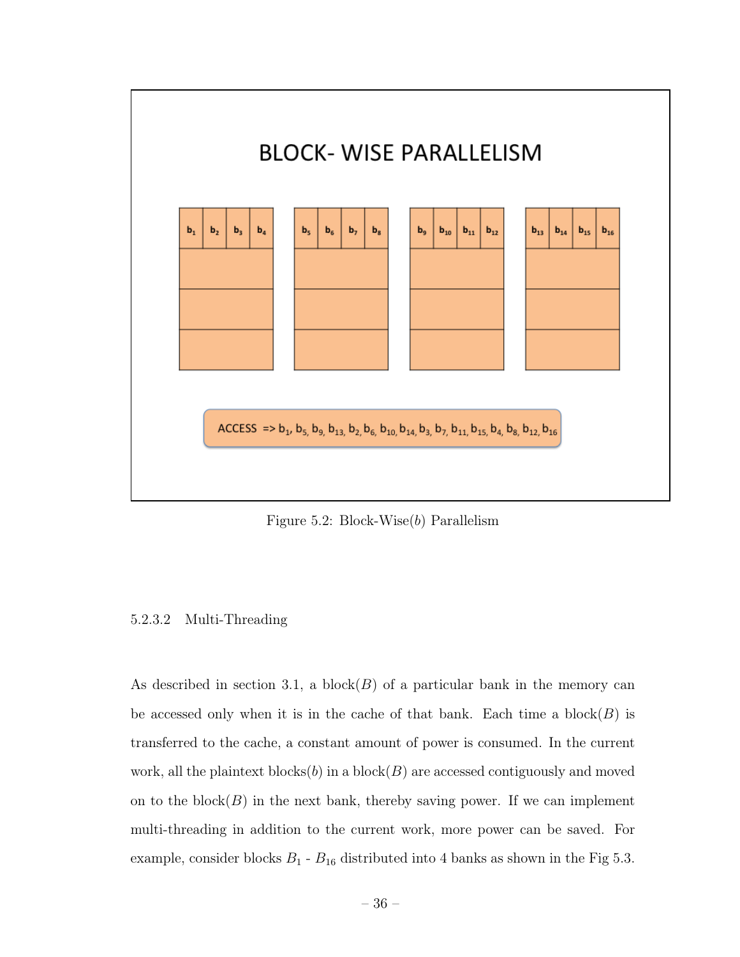

Figure 5.2: Block-Wise $(b)$  Parallelism

# 5.2.3.2 Multi-Threading

As described in section 3.1, a block( $B$ ) of a particular bank in the memory can be accessed only when it is in the cache of that bank. Each time a block $(B)$  is transferred to the cache, a constant amount of power is consumed. In the current work, all the plaintext blocks $(b)$  in a block $(B)$  are accessed contiguously and moved on to the block $(B)$  in the next bank, thereby saving power. If we can implement multi-threading in addition to the current work, more power can be saved. For example, consider blocks  $B_1 - B_{16}$  distributed into 4 banks as shown in the Fig 5.3.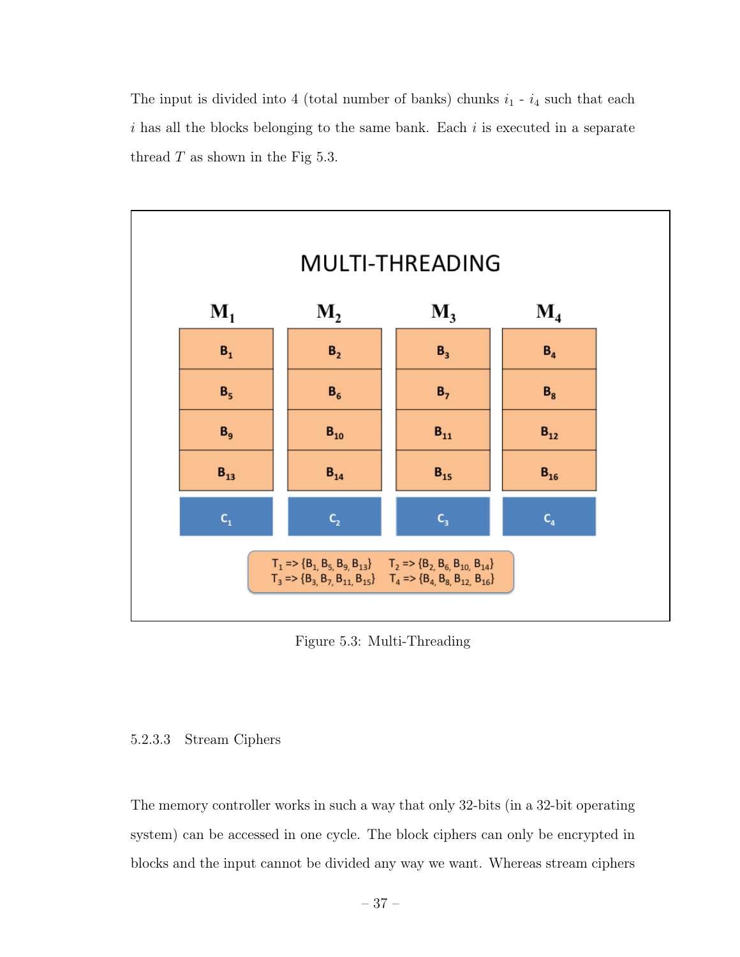The input is divided into 4 (total number of banks) chunks  $i_1$  -  $i_4$  such that each  $i$  has all the blocks belonging to the same bank. Each  $i$  is executed in a separate thread  $T$  as shown in the Fig 5.3.



Figure 5.3: Multi-Threading

# 5.2.3.3 Stream Ciphers

The memory controller works in such a way that only 32-bits (in a 32-bit operating system) can be accessed in one cycle. The block ciphers can only be encrypted in blocks and the input cannot be divided any way we want. Whereas stream ciphers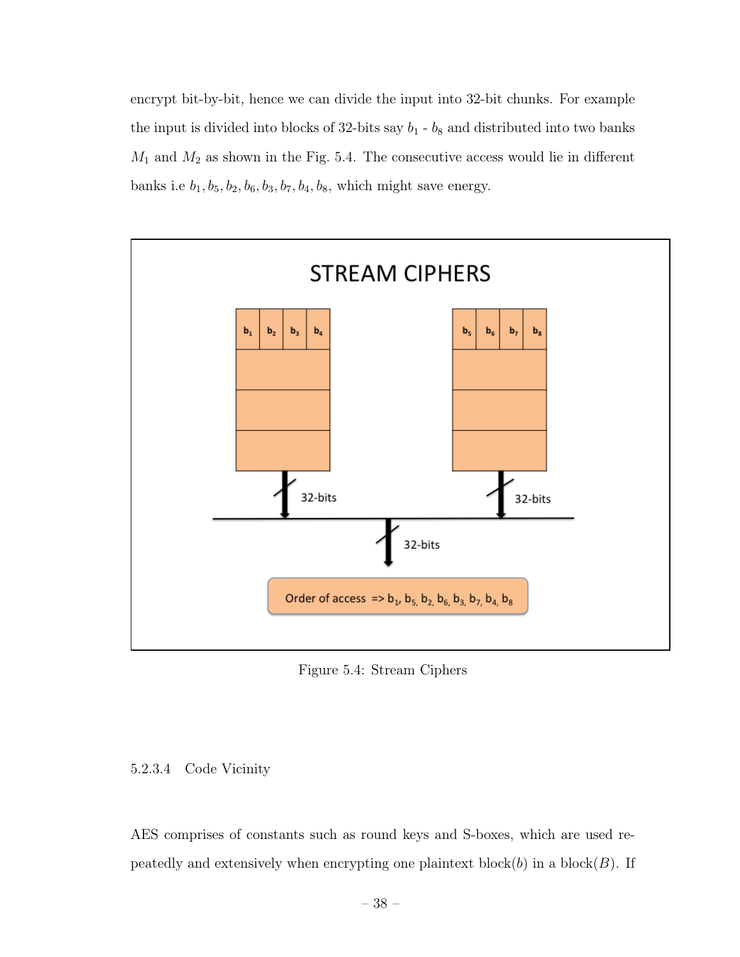encrypt bit-by-bit, hence we can divide the input into 32-bit chunks. For example the input is divided into blocks of 32-bits say  $b_1 - b_8$  and distributed into two banks  $M_1$  and  $M_2$  as shown in the Fig. 5.4. The consecutive access would lie in different banks i.e  $b_1, b_5, b_2, b_6, b_3, b_7, b_4, b_8$ , which might save energy.



Figure 5.4: Stream Ciphers

# 5.2.3.4 Code Vicinity

AES comprises of constants such as round keys and S-boxes, which are used repeatedly and extensively when encrypting one plaintext block $(b)$  in a block $(B)$ . If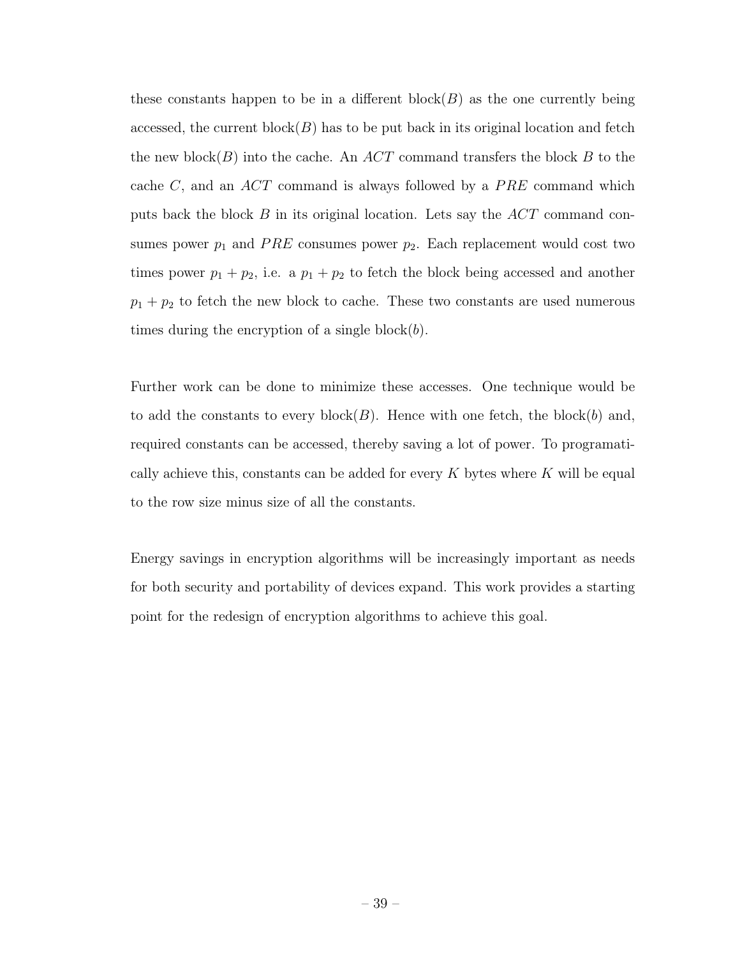these constants happen to be in a different block $(B)$  as the one currently being accessed, the current block $(B)$  has to be put back in its original location and fetch the new block $(B)$  into the cache. An  $ACT$  command transfers the block B to the cache  $C$ , and an  $ACT$  command is always followed by a  $PRE$  command which puts back the block  $B$  in its original location. Lets say the  $ACT$  command consumes power  $p_1$  and PRE consumes power  $p_2$ . Each replacement would cost two times power  $p_1 + p_2$ , i.e. a  $p_1 + p_2$  to fetch the block being accessed and another  $p_1 + p_2$  to fetch the new block to cache. These two constants are used numerous times during the encryption of a single block $(b)$ .

Further work can be done to minimize these accesses. One technique would be to add the constants to every block(B). Hence with one fetch, the block(b) and, required constants can be accessed, thereby saving a lot of power. To programatically achieve this, constants can be added for every  $K$  bytes where  $K$  will be equal to the row size minus size of all the constants.

Energy savings in encryption algorithms will be increasingly important as needs for both security and portability of devices expand. This work provides a starting point for the redesign of encryption algorithms to achieve this goal.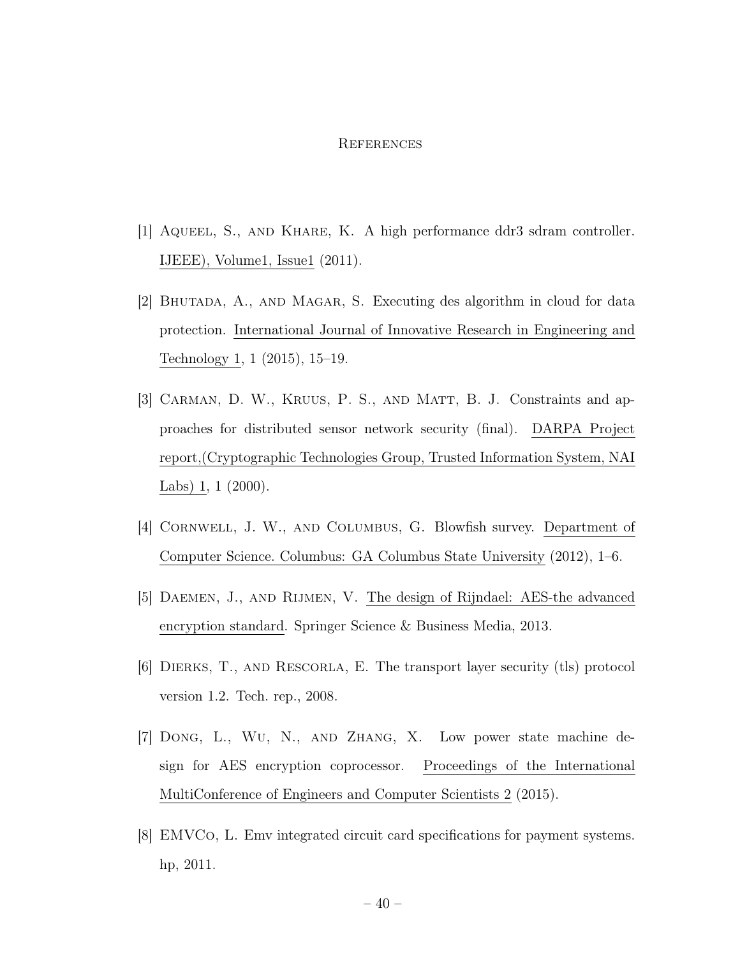#### **REFERENCES**

- [1] Aqueel, S., and Khare, K. A high performance ddr3 sdram controller. IJEEE), Volume1, Issue1 (2011).
- [2] Bhutada, A., and Magar, S. Executing des algorithm in cloud for data protection. International Journal of Innovative Research in Engineering and Technology 1, 1 (2015), 15–19.
- [3] Carman, D. W., Kruus, P. S., and Matt, B. J. Constraints and approaches for distributed sensor network security (final). DARPA Project report,(Cryptographic Technologies Group, Trusted Information System, NAI Labs) 1, 1 (2000).
- [4] Cornwell, J. W., and Columbus, G. Blowfish survey. Department of Computer Science. Columbus: GA Columbus State University (2012), 1–6.
- [5] Daemen, J., and Rijmen, V. The design of Rijndael: AES-the advanced encryption standard. Springer Science & Business Media, 2013.
- [6] Dierks, T., and Rescorla, E. The transport layer security (tls) protocol version 1.2. Tech. rep., 2008.
- [7] Dong, L., Wu, N., and Zhang, X. Low power state machine design for AES encryption coprocessor. Proceedings of the International MultiConference of Engineers and Computer Scientists 2 (2015).
- [8] EMVCo, L. Emv integrated circuit card specifications for payment systems. hp, 2011.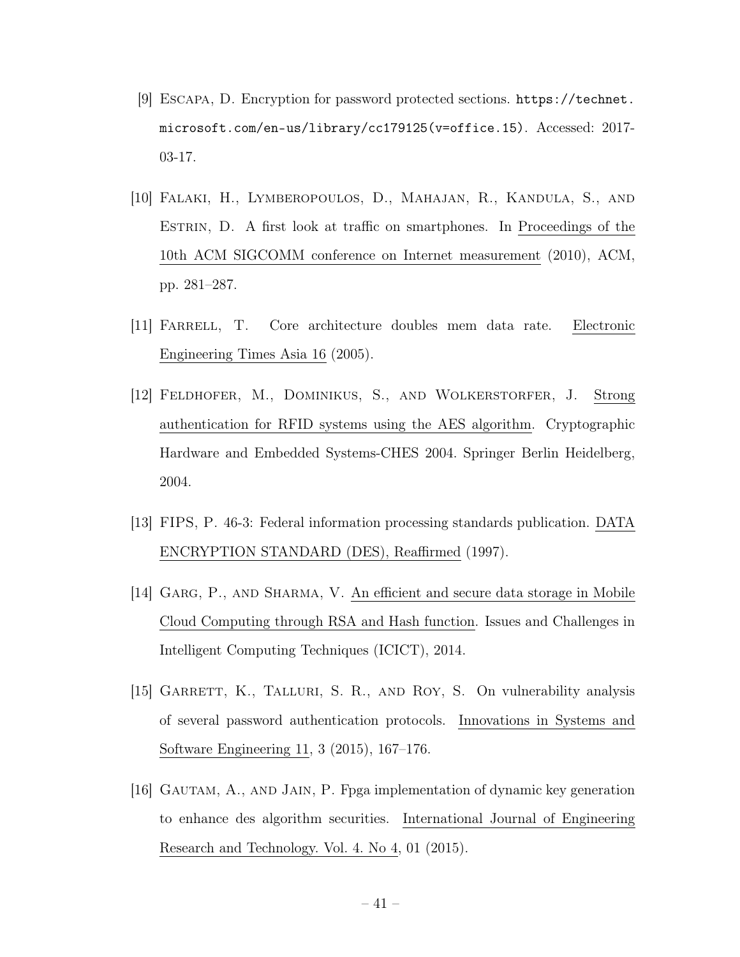- [9] Escapa, D. Encryption for password protected sections. https://technet. microsoft.com/en-us/library/cc179125(v=office.15). Accessed: 2017- 03-17.
- [10] Falaki, H., Lymberopoulos, D., Mahajan, R., Kandula, S., and Estrin, D. A first look at traffic on smartphones. In Proceedings of the 10th ACM SIGCOMM conference on Internet measurement (2010), ACM, pp. 281–287.
- [11] Farrell, T. Core architecture doubles mem data rate. Electronic Engineering Times Asia 16 (2005).
- [12] Feldhofer, M., Dominikus, S., and Wolkerstorfer, J. Strong authentication for RFID systems using the AES algorithm. Cryptographic Hardware and Embedded Systems-CHES 2004. Springer Berlin Heidelberg, 2004.
- [13] FIPS, P. 46-3: Federal information processing standards publication. DATA ENCRYPTION STANDARD (DES), Reaffirmed (1997).
- [14] GARG, P., AND SHARMA, V. An efficient and secure data storage in Mobile Cloud Computing through RSA and Hash function. Issues and Challenges in Intelligent Computing Techniques (ICICT), 2014.
- [15] GARRETT, K., TALLURI, S. R., AND ROY, S. On vulnerability analysis of several password authentication protocols. Innovations in Systems and Software Engineering 11, 3 (2015), 167–176.
- [16] Gautam, A., and Jain, P. Fpga implementation of dynamic key generation to enhance des algorithm securities. International Journal of Engineering Research and Technology. Vol. 4. No 4, 01 (2015).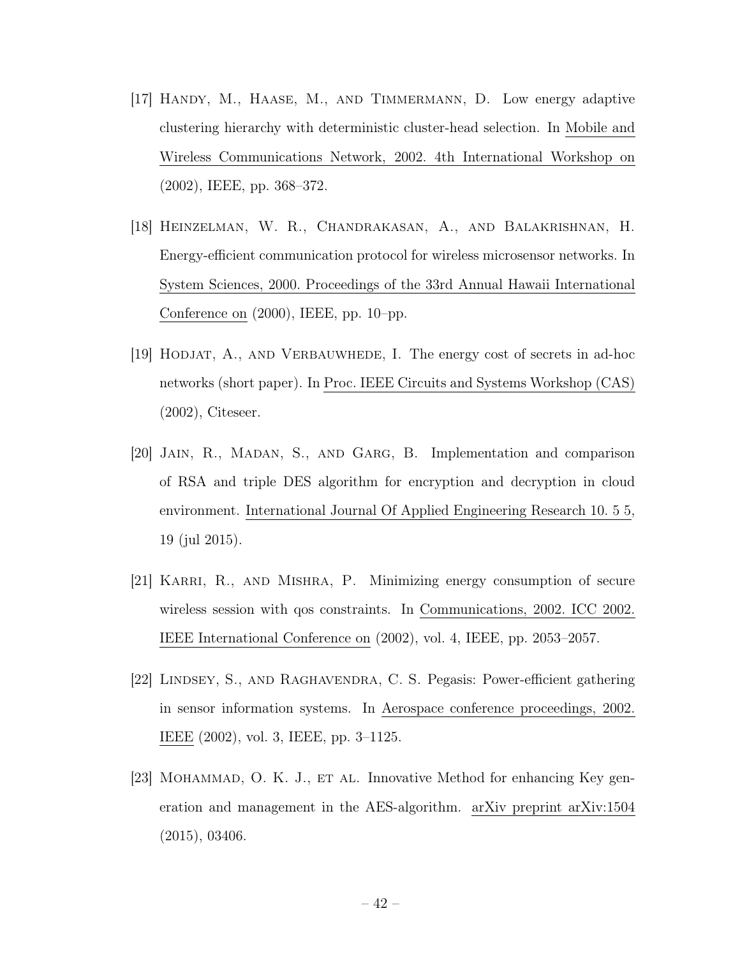- [17] Handy, M., Haase, M., and Timmermann, D. Low energy adaptive clustering hierarchy with deterministic cluster-head selection. In Mobile and Wireless Communications Network, 2002. 4th International Workshop on (2002), IEEE, pp. 368–372.
- [18] Heinzelman, W. R., Chandrakasan, A., and Balakrishnan, H. Energy-efficient communication protocol for wireless microsensor networks. In System Sciences, 2000. Proceedings of the 33rd Annual Hawaii International Conference on (2000), IEEE, pp. 10–pp.
- [19] Hodjat, A., and Verbauwhede, I. The energy cost of secrets in ad-hoc networks (short paper). In Proc. IEEE Circuits and Systems Workshop (CAS) (2002), Citeseer.
- [20] Jain, R., Madan, S., and Garg, B. Implementation and comparison of RSA and triple DES algorithm for encryption and decryption in cloud environment. International Journal Of Applied Engineering Research 10. 5 5, 19 (jul 2015).
- [21] Karri, R., and Mishra, P. Minimizing energy consumption of secure wireless session with qos constraints. In Communications, 2002. ICC 2002. IEEE International Conference on (2002), vol. 4, IEEE, pp. 2053–2057.
- [22] Lindsey, S., and Raghavendra, C. S. Pegasis: Power-efficient gathering in sensor information systems. In Aerospace conference proceedings, 2002. IEEE (2002), vol. 3, IEEE, pp. 3–1125.
- [23] MOHAMMAD, O. K. J., ET AL. Innovative Method for enhancing Key generation and management in the AES-algorithm. arXiv preprint arXiv:1504 (2015), 03406.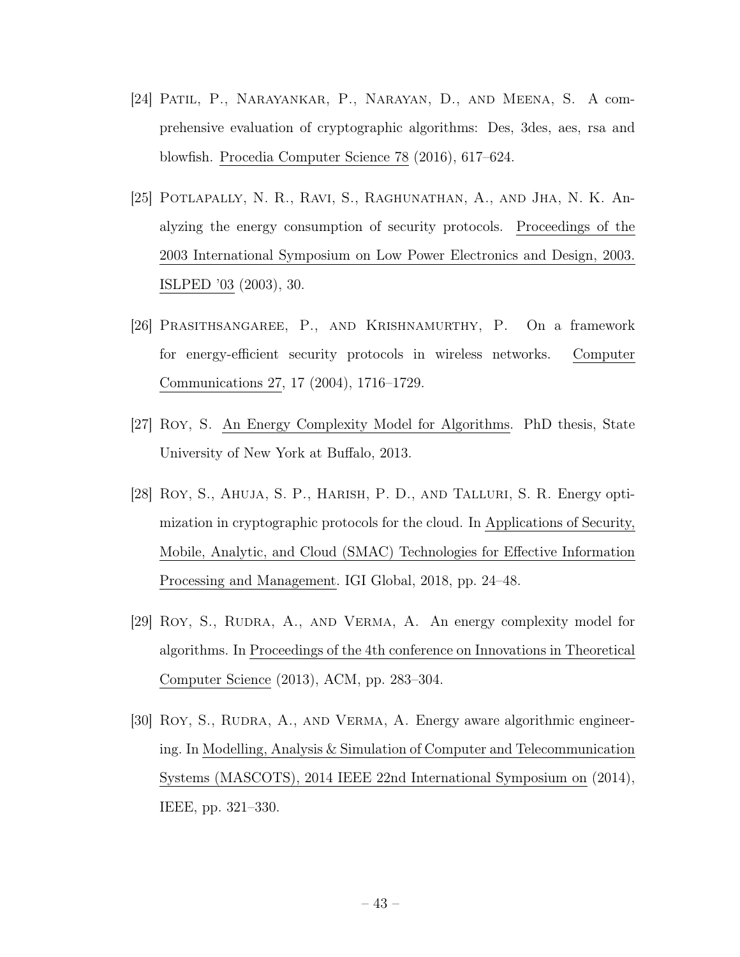- [24] Patil, P., Narayankar, P., Narayan, D., and Meena, S. A comprehensive evaluation of cryptographic algorithms: Des, 3des, aes, rsa and blowfish. Procedia Computer Science 78 (2016), 617–624.
- [25] Potlapally, N. R., Ravi, S., Raghunathan, A., and Jha, N. K. Analyzing the energy consumption of security protocols. Proceedings of the 2003 International Symposium on Low Power Electronics and Design, 2003. ISLPED '03 (2003), 30.
- [26] Prasithsangaree, P., and Krishnamurthy, P. On a framework for energy-efficient security protocols in wireless networks. Computer Communications 27, 17 (2004), 1716–1729.
- [27] Roy, S. An Energy Complexity Model for Algorithms. PhD thesis, State University of New York at Buffalo, 2013.
- [28] Roy, S., Ahuja, S. P., Harish, P. D., and Talluri, S. R. Energy optimization in cryptographic protocols for the cloud. In Applications of Security, Mobile, Analytic, and Cloud (SMAC) Technologies for Effective Information Processing and Management. IGI Global, 2018, pp. 24–48.
- [29] Roy, S., Rudra, A., and Verma, A. An energy complexity model for algorithms. In Proceedings of the 4th conference on Innovations in Theoretical Computer Science (2013), ACM, pp. 283–304.
- [30] ROY, S., RUDRA, A., AND VERMA, A. Energy aware algorithmic engineering. In Modelling, Analysis & Simulation of Computer and Telecommunication Systems (MASCOTS), 2014 IEEE 22nd International Symposium on (2014), IEEE, pp. 321–330.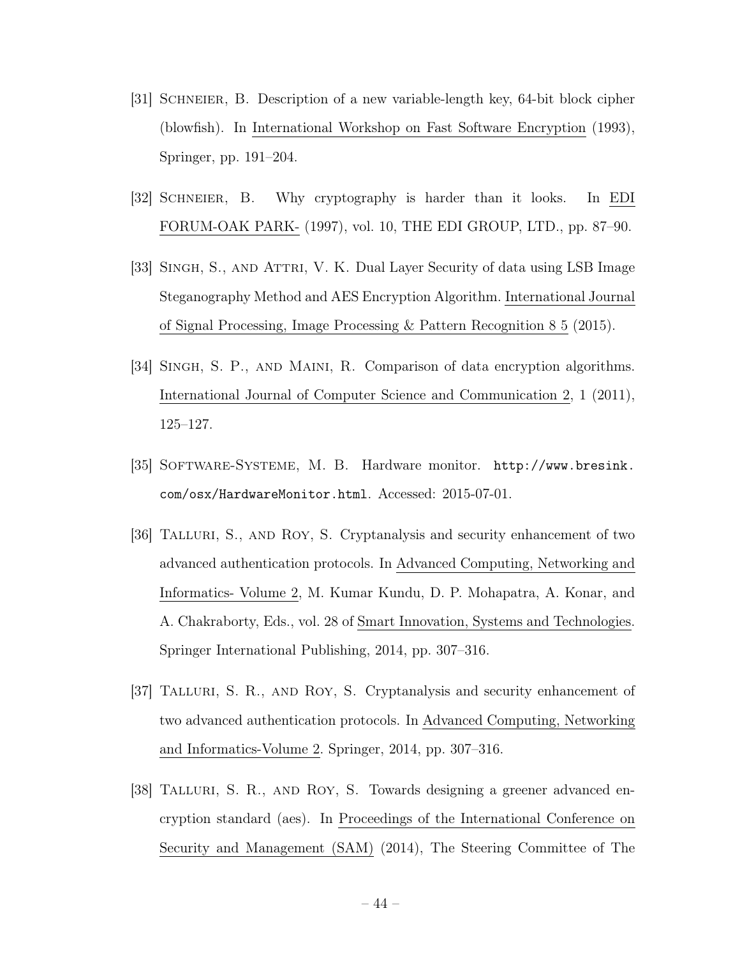- [31] Schneier, B. Description of a new variable-length key, 64-bit block cipher (blowfish). In International Workshop on Fast Software Encryption (1993), Springer, pp. 191–204.
- [32] Schneier, B. Why cryptography is harder than it looks. In EDI FORUM-OAK PARK- (1997), vol. 10, THE EDI GROUP, LTD., pp. 87–90.
- [33] SINGH, S., AND ATTRI, V. K. Dual Layer Security of data using LSB Image Steganography Method and AES Encryption Algorithm. International Journal of Signal Processing, Image Processing & Pattern Recognition 8 5 (2015).
- [34] Singh, S. P., and Maini, R. Comparison of data encryption algorithms. International Journal of Computer Science and Communication 2, 1 (2011), 125–127.
- [35] Software-Systeme, M. B. Hardware monitor. http://www.bresink. com/osx/HardwareMonitor.html. Accessed: 2015-07-01.
- [36] Talluri, S., and Roy, S. Cryptanalysis and security enhancement of two advanced authentication protocols. In Advanced Computing, Networking and Informatics- Volume 2, M. Kumar Kundu, D. P. Mohapatra, A. Konar, and A. Chakraborty, Eds., vol. 28 of Smart Innovation, Systems and Technologies. Springer International Publishing, 2014, pp. 307–316.
- [37] Talluri, S. R., and Roy, S. Cryptanalysis and security enhancement of two advanced authentication protocols. In Advanced Computing, Networking and Informatics-Volume 2. Springer, 2014, pp. 307–316.
- [38] Talluri, S. R., and Roy, S. Towards designing a greener advanced encryption standard (aes). In Proceedings of the International Conference on Security and Management (SAM) (2014), The Steering Committee of The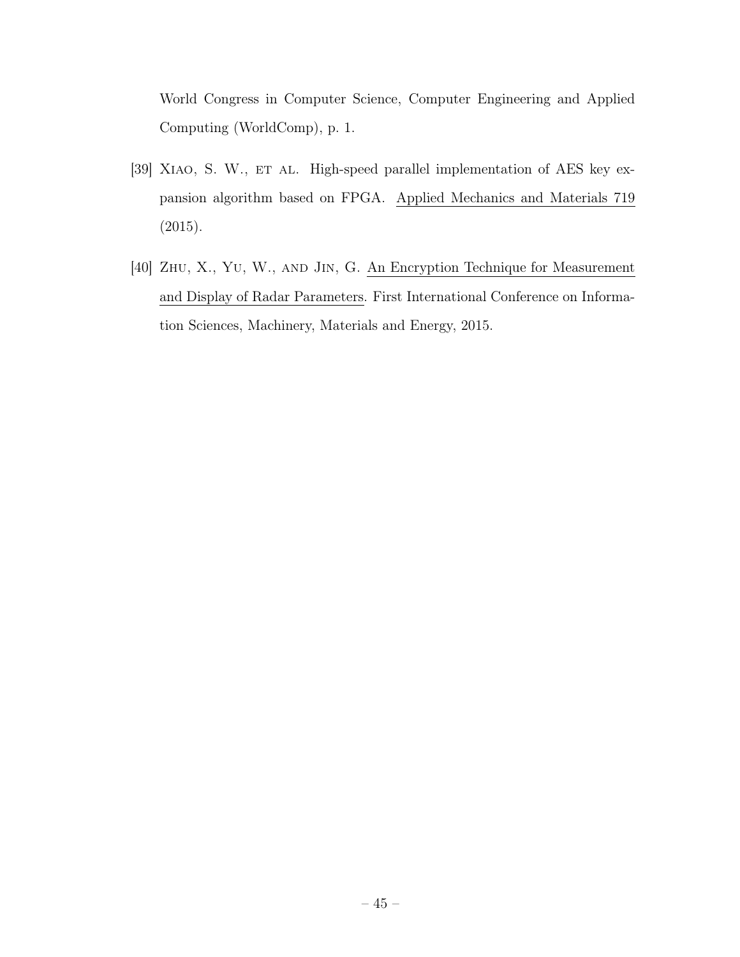World Congress in Computer Science, Computer Engineering and Applied Computing (WorldComp), p. 1.

- [39] XIAO, S. W., ET AL. High-speed parallel implementation of AES key expansion algorithm based on FPGA. Applied Mechanics and Materials 719 (2015).
- [40] Zhu, X., Yu, W., and Jin, G. An Encryption Technique for Measurement and Display of Radar Parameters. First International Conference on Information Sciences, Machinery, Materials and Energy, 2015.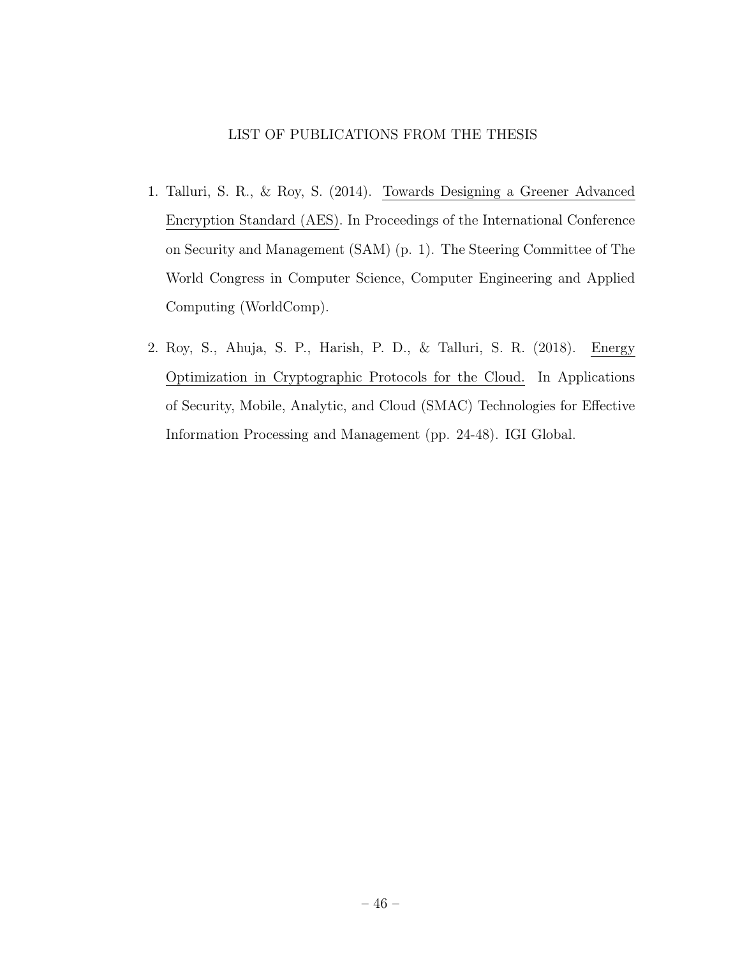# LIST OF PUBLICATIONS FROM THE THESIS

- 1. Talluri, S. R., & Roy, S. (2014). Towards Designing a Greener Advanced Encryption Standard (AES). In Proceedings of the International Conference on Security and Management (SAM) (p. 1). The Steering Committee of The World Congress in Computer Science, Computer Engineering and Applied Computing (WorldComp).
- 2. Roy, S., Ahuja, S. P., Harish, P. D., & Talluri, S. R. (2018). Energy Optimization in Cryptographic Protocols for the Cloud. In Applications of Security, Mobile, Analytic, and Cloud (SMAC) Technologies for Effective Information Processing and Management (pp. 24-48). IGI Global.